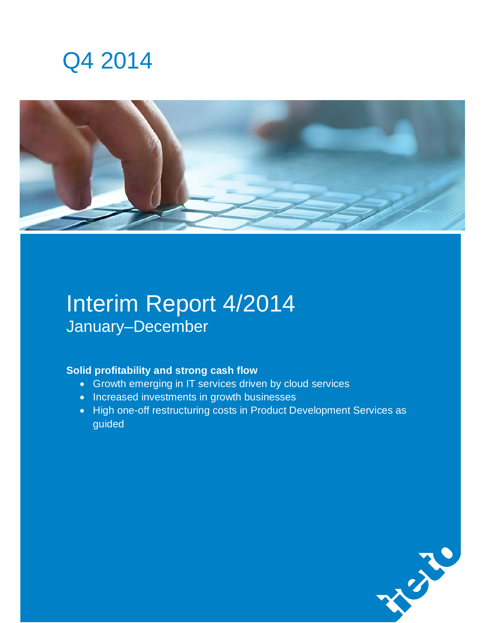# Q4 2014



# Interim Report 4/2014 January–December

### **Solid profitability and strong cash flow**

- Growth emerging in IT services driven by cloud services
- Increased investments in growth businesses
- High one-off restructuring costs in Product Development Services as guided

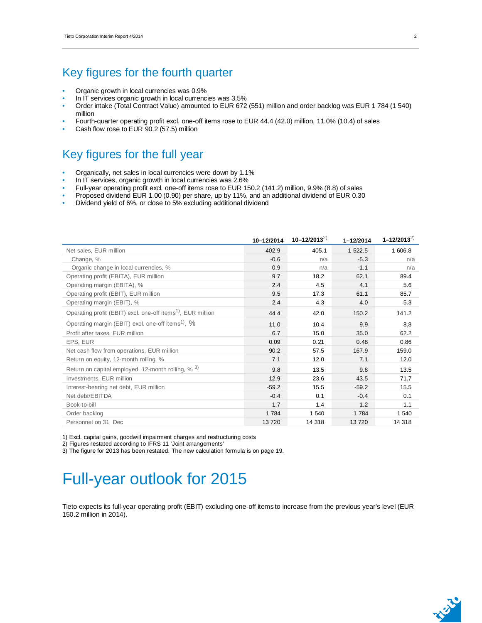### Key figures for the fourth quarter

- Organic growth in local currencies was 0.9%
- In IT services organic growth in local currencies was 3.5%
- Order intake (Total Contract Value) amounted to EUR 672 (551) million and order backlog was EUR 1 784 (1 540) million
- Fourth-quarter operating profit excl. one-off items rose to EUR 44.4 (42.0) million, 11.0% (10.4) of sales
- Cash flow rose to EUR 90.2 (57.5) million

### Key figures for the full year

- Organically, net sales in local currencies were down by 1.1%
- In IT services, organic growth in local currencies was 2.6%
- Full-year operating profit excl. one-off items rose to EUR 150.2 (141.2) million, 9.9% (8.8) of sales
- Proposed dividend EUR 1.00 (0.90) per share, up by 11%, and an additional dividend of EUR 0.30
- Dividend yield of 6%, or close to 5% excluding additional dividend

|                                                                         | 10-12/2014 | $10 - 12/2013^{2}$ | $1 - 12/2014$ | $1 - 12/2013^{2}$ |
|-------------------------------------------------------------------------|------------|--------------------|---------------|-------------------|
| Net sales, EUR million                                                  | 402.9      | 405.1              | 1 522.5       | 1 606.8           |
| Change, %                                                               | $-0.6$     | n/a                | $-5.3$        | n/a               |
| Organic change in local currencies, %                                   | 0.9        | n/a                | $-1.1$        | n/a               |
| Operating profit (EBITA), EUR million                                   | 9.7        | 18.2               | 62.1          | 89.4              |
| Operating margin (EBITA), %                                             | 2.4        | 4.5                | 4.1           | 5.6               |
| Operating profit (EBIT), EUR million                                    | 9.5        | 17.3               | 61.1          | 85.7              |
| Operating margin (EBIT), %                                              | 2.4        | 4.3                | 4.0           | 5.3               |
| Operating profit (EBIT) excl. one-off items <sup>1)</sup> , EUR million | 44.4       | 42.0               | 150.2         | 141.2             |
| Operating margin (EBIT) excl. one-off items <sup>1)</sup> , %           | 11.0       | 10.4               | 9.9           | 8.8               |
| Profit after taxes, EUR million                                         | 6.7        | 15.0               | 35.0          | 62.2              |
| EPS, EUR                                                                | 0.09       | 0.21               | 0.48          | 0.86              |
| Net cash flow from operations, EUR million                              | 90.2       | 57.5               | 167.9         | 159.0             |
| Return on equity, 12-month rolling, %                                   | 7.1        | 12.0               | 7.1           | 12.0              |
| Return on capital employed, 12-month rolling, $% ^{3}$                  | 9.8        | 13.5               | 9.8           | 13.5              |
| Investments, EUR million                                                | 12.9       | 23.6               | 43.5          | 71.7              |
| Interest-bearing net debt, EUR million                                  | $-59.2$    | 15.5               | $-59.2$       | 15.5              |
| Net debt/EBITDA                                                         | $-0.4$     | 0.1                | $-0.4$        | 0.1               |
| Book-to-bill                                                            | 1.7        | 1.4                | 1.2           | 1.1               |
| Order backlog                                                           | 1784       | 1 540              | 1 7 8 4       | 1 540             |
| Personnel on 31 Dec                                                     | 13720      | 14 318             | 13720         | 14 318            |

1) Excl. capital gains, goodwill impairment charges and restructuring costs

2) Figures restated according to IFRS 11 'Joint arrangements'

3) The figure for 2013 has been restated. The new calculation formula is on page 19.

# Full-year outlook for 2015

Tieto expects its full-year operating profit (EBIT) excluding one-off items to increase from the previous year's level (EUR 150.2 million in 2014).

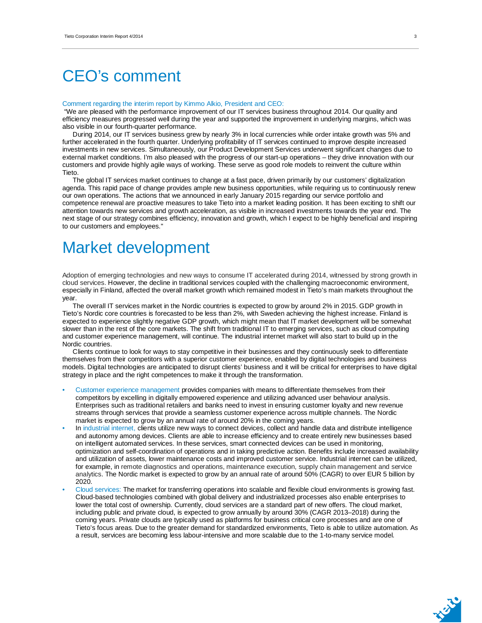# CEO's comment

#### Comment regarding the interim report by Kimmo Alkio, President and CEO:

 "We are pleased with the performance improvement of our IT services business throughout 2014. Our quality and efficiency measures progressed well during the year and supported the improvement in underlying margins, which was also visible in our fourth-quarter performance.

During 2014, our IT services business grew by nearly 3% in local currencies while order intake growth was 5% and further accelerated in the fourth quarter. Underlying profitability of IT services continued to improve despite increased investments in new services. Simultaneously, our Product Development Services underwent significant changes due to external market conditions. I'm also pleased with the progress of our start-up operations – they drive innovation with our customers and provide highly agile ways of working. These serve as good role models to reinvent the culture within Tieto.

The global IT services market continues to change at a fast pace, driven primarily by our customers' digitalization agenda. This rapid pace of change provides ample new business opportunities, while requiring us to continuously renew our own operations. The actions that we announced in early January 2015 regarding our service portfolio and competence renewal are proactive measures to take Tieto into a market leading position. It has been exciting to shift our attention towards new services and growth acceleration, as visible in increased investments towards the year end. The next stage of our strategy combines efficiency, innovation and growth, which I expect to be highly beneficial and inspiring to our customers and employees."

# Market development

Adoption of emerging technologies and new ways to consume IT accelerated during 2014, witnessed by strong growth in cloud services. However, the decline in traditional services coupled with the challenging macroeconomic environment, especially in Finland, affected the overall market growth which remained modest in Tieto's main markets throughout the year.

The overall IT services market in the Nordic countries is expected to grow by around 2% in 2015. GDP growth in Tieto's Nordic core countries is forecasted to be less than 2%, with Sweden achieving the highest increase. Finland is expected to experience slightly negative GDP growth, which might mean that IT market development will be somewhat slower than in the rest of the core markets. The shift from traditional IT to emerging services, such as cloud computing and customer experience management, will continue. The industrial internet market will also start to build up in the Nordic countries.

Clients continue to look for ways to stay competitive in their businesses and they continuously seek to differentiate themselves from their competitors with a superior customer experience, enabled by digital technologies and business models. Digital technologies are anticipated to disrupt clients' business and it will be critical for enterprises to have digital strategy in place and the right competences to make it through the transformation.

- Customer experience management provides companies with means to differentiate themselves from their competitors by excelling in digitally empowered experience and utilizing advanced user behaviour analysis. Enterprises such as traditional retailers and banks need to invest in ensuring customer loyalty and new revenue streams through services that provide a seamless customer experience across multiple channels. The Nordic market is expected to grow by an annual rate of around 20% in the coming years.
- In industrial internet, clients utilize new ways to connect devices, collect and handle data and distribute intelligence and autonomy among devices. Clients are able to increase efficiency and to create entirely new businesses based on intelligent automated services. In these services, smart connected devices can be used in monitoring, optimization and self-coordination of operations and in taking predictive action. Benefits include increased availability and utilization of assets, lower maintenance costs and improved customer service. Industrial internet can be utilized, for example, in remote diagnostics and operations, maintenance execution, supply chain management and service analytics. The Nordic market is expected to grow by an annual rate of around 50% (CAGR) to over EUR 5 billion by 2020.
- Cloud services: The market for transferring operations into scalable and flexible cloud environments is growing fast. Cloud-based technologies combined with global delivery and industrialized processes also enable enterprises to lower the total cost of ownership. Currently, cloud services are a standard part of new offers. The cloud market, including public and private cloud, is expected to grow annually by around 30% (CAGR 2013–2018) during the coming years. Private clouds are typically used as platforms for business critical core processes and are one of Tieto's focus areas. Due to the greater demand for standardized environments, Tieto is able to utilize automation. As a result, services are becoming less labour-intensive and more scalable due to the 1-to-many service model.

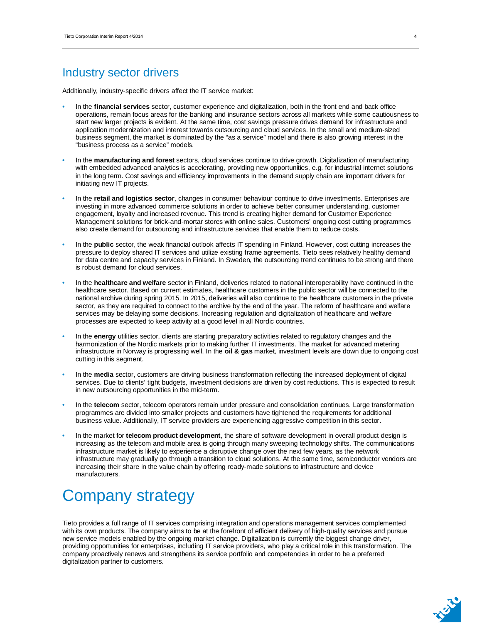### Industry sector drivers

Additionally, industry-specific drivers affect the IT service market:

- In the **financial services** sector, customer experience and digitalization, both in the front end and back office operations, remain focus areas for the banking and insurance sectors across all markets while some cautiousness to start new larger projects is evident. At the same time, cost savings pressure drives demand for infrastructure and application modernization and interest towards outsourcing and cloud services. In the small and medium-sized business segment, the market is dominated by the "as a service" model and there is also growing interest in the "business process as a service" models.
- In the **manufacturing and forest** sectors, cloud services continue to drive growth. Digitalization of manufacturing with embedded advanced analytics is accelerating, providing new opportunities, e.g. for industrial internet solutions in the long term. Cost savings and efficiency improvements in the demand supply chain are important drivers for initiating new IT projects.
- In the **retail and logistics sector**, changes in consumer behaviour continue to drive investments. Enterprises are investing in more advanced commerce solutions in order to achieve better consumer understanding, customer engagement, loyalty and increased revenue. This trend is creating higher demand for Customer Experience Management solutions for brick-and-mortar stores with online sales. Customers' ongoing cost cutting programmes also create demand for outsourcing and infrastructure services that enable them to reduce costs.
- In the **public** sector, the weak financial outlook affects IT spending in Finland. However, cost cutting increases the pressure to deploy shared IT services and utilize existing frame agreements. Tieto sees relatively healthy demand for data centre and capacity services in Finland. In Sweden, the outsourcing trend continues to be strong and there is robust demand for cloud services.
- In the **healthcare and welfare** sector in Finland, deliveries related to national interoperability have continued in the healthcare sector. Based on current estimates, healthcare customers in the public sector will be connected to the national archive during spring 2015. In 2015, deliveries will also continue to the healthcare customers in the private sector, as they are required to connect to the archive by the end of the year. The reform of healthcare and welfare services may be delaying some decisions. Increasing regulation and digitalization of healthcare and welfare processes are expected to keep activity at a good level in all Nordic countries.
- In the **energy** utilities sector, clients are starting preparatory activities related to regulatory changes and the harmonization of the Nordic markets prior to making further IT investments. The market for advanced metering infrastructure in Norway is progressing well. In the **oil & gas** market, investment levels are down due to ongoing cost cutting in this segment.
- In the **media** sector, customers are driving business transformation reflecting the increased deployment of digital services. Due to clients' tight budgets, investment decisions are driven by cost reductions. This is expected to result in new outsourcing opportunities in the mid-term.
- In the **telecom** sector, telecom operators remain under pressure and consolidation continues. Large transformation programmes are divided into smaller projects and customers have tightened the requirements for additional business value. Additionally, IT service providers are experiencing aggressive competition in this sector.
- In the market for **telecom product development**, the share of software development in overall product design is increasing as the telecom and mobile area is going through many sweeping technology shifts. The communications infrastructure market is likely to experience a disruptive change over the next few years, as the network infrastructure may gradually go through a transition to cloud solutions. At the same time, semiconductor vendors are increasing their share in the value chain by offering ready-made solutions to infrastructure and device manufacturers.

# Company strategy

Tieto provides a full range of IT services comprising integration and operations management services complemented with its own products. The company aims to be at the forefront of efficient delivery of high-quality services and pursue new service models enabled by the ongoing market change. Digitalization is currently the biggest change driver, providing opportunities for enterprises, including IT service providers, who play a critical role in this transformation. The company proactively renews and strengthens its service portfolio and competencies in order to be a preferred digitalization partner to customers.

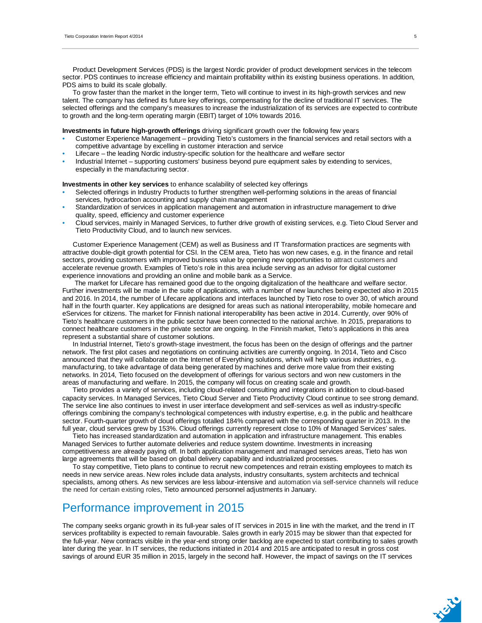Product Development Services (PDS) is the largest Nordic provider of product development services in the telecom sector. PDS continues to increase efficiency and maintain profitability within its existing business operations. In addition, PDS aims to build its scale globally.

To grow faster than the market in the longer term, Tieto will continue to invest in its high-growth services and new talent. The company has defined its future key offerings, compensating for the decline of traditional IT services. The selected offerings and the company's measures to increase the industrialization of its services are expected to contribute to growth and the long-term operating margin (EBIT) target of 10% towards 2016.

**Investments in future high-growth offerings** driving significant growth over the following few years

- Customer Experience Management providing Tieto's customers in the financial services and retail sectors with a competitive advantage by excelling in customer interaction and service
- Lifecare the leading Nordic industry-specific solution for the healthcare and welfare sector
- Industrial Internet supporting customers' business beyond pure equipment sales by extending to services, especially in the manufacturing sector.

**Investments in other key services** to enhance scalability of selected key offerings

- Selected offerings in Industry Products to further strengthen well-performing solutions in the areas of financial services, hydrocarbon accounting and supply chain management
- Standardization of services in application management and automation in infrastructure management to drive quality, speed, efficiency and customer experience
- Cloud services, mainly in Managed Services, to further drive growth of existing services, e.g. Tieto Cloud Server and Tieto Productivity Cloud, and to launch new services.

Customer Experience Management (CEM) as well as Business and IT Transformation practices are segments with attractive double-digit growth potential for CSI. In the CEM area, Tieto has won new cases, e.g. in the finance and retail sectors, providing customers with improved business value by opening new opportunities to attract customers and accelerate revenue growth. Examples of Tieto's role in this area include serving as an advisor for digital customer experience innovations and providing an online and mobile bank as a Service.

 The market for Lifecare has remained good due to the ongoing digitalization of the healthcare and welfare sector. Further investments will be made in the suite of applications, with a number of new launches being expected also in 2015 and 2016. In 2014, the number of Lifecare applications and interfaces launched by Tieto rose to over 30, of which around half in the fourth quarter. Key applications are designed for areas such as national interoperability, mobile homecare and eServices for citizens. The market for Finnish national interoperability has been active in 2014. Currently, over 90% of Tieto's healthcare customers in the public sector have been connected to the national archive. In 2015, preparations to connect healthcare customers in the private sector are ongoing. In the Finnish market, Tieto's applications in this area represent a substantial share of customer solutions.

In Industrial Internet, Tieto's growth-stage investment, the focus has been on the design of offerings and the partner network. The first pilot cases and negotiations on continuing activities are currently ongoing. In 2014, Tieto and Cisco announced that they will collaborate on the Internet of Everything solutions, which will help various industries, e.g. manufacturing, to take advantage of data being generated by machines and derive more value from their existing networks. In 2014, Tieto focused on the development of offerings for various sectors and won new customers in the areas of manufacturing and welfare. In 2015, the company will focus on creating scale and growth.

Tieto provides a variety of services, including cloud-related consulting and integrations in addition to cloud-based capacity services. In Managed Services, Tieto Cloud Server and Tieto Productivity Cloud continue to see strong demand. The service line also continues to invest in user interface development and self-services as well as industry-specific offerings combining the company's technological competences with industry expertise, e.g. in the public and healthcare sector. Fourth-quarter growth of cloud offerings totalled 184% compared with the corresponding quarter in 2013. In the full year, cloud services grew by 153%. Cloud offerings currently represent close to 10% of Managed Services' sales.

Tieto has increased standardization and automation in application and infrastructure management. This enables Managed Services to further automate deliveries and reduce system downtime. Investments in increasing competitiveness are already paying off. In both application management and managed services areas, Tieto has won large agreements that will be based on global delivery capability and industrialized processes.

To stay competitive, Tieto plans to continue to recruit new competences and retrain existing employees to match its needs in new service areas. New roles include data analysts, industry consultants, system architects and technical specialists, among others. As new services are less labour-intensive and automation via self-service channels will reduce the need for certain existing roles, Tieto announced personnel adjustments in January.

### Performance improvement in 2015

The company seeks organic growth in its full-year sales of IT services in 2015 in line with the market, and the trend in IT services profitability is expected to remain favourable. Sales growth in early 2015 may be slower than that expected for the full-year. New contracts visible in the year-end strong order backlog are expected to start contributing to sales growth later during the year. In IT services, the reductions initiated in 2014 and 2015 are anticipated to result in gross cost savings of around EUR 35 million in 2015, largely in the second half. However, the impact of savings on the IT services

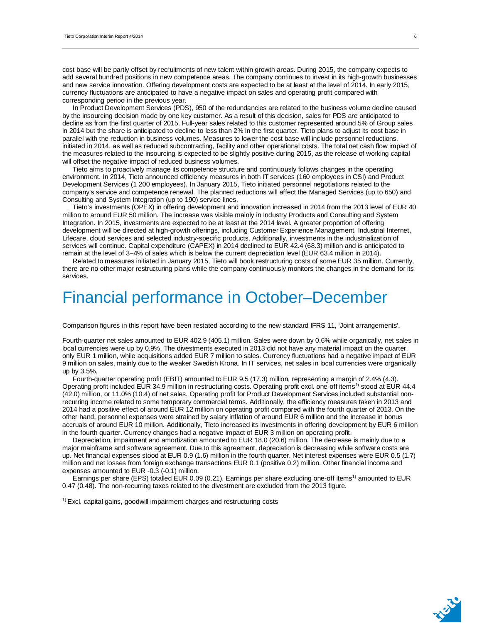cost base will be partly offset by recruitments of new talent within growth areas. During 2015, the company expects to add several hundred positions in new competence areas. The company continues to invest in its high-growth businesses and new service innovation. Offering development costs are expected to be at least at the level of 2014. In early 2015, currency fluctuations are anticipated to have a negative impact on sales and operating profit compared with corresponding period in the previous year.

In Product Development Services (PDS), 950 of the redundancies are related to the business volume decline caused by the insourcing decision made by one key customer. As a result of this decision, sales for PDS are anticipated to decline as from the first quarter of 2015. Full-year sales related to this customer represented around 5% of Group sales in 2014 but the share is anticipated to decline to less than 2% in the first quarter. Tieto plans to adjust its cost base in parallel with the reduction in business volumes. Measures to lower the cost base will include personnel reductions, initiated in 2014, as well as reduced subcontracting, facility and other operational costs. The total net cash flow impact of the measures related to the insourcing is expected to be slightly positive during 2015, as the release of working capital will offset the negative impact of reduced business volumes.

Tieto aims to proactively manage its competence structure and continuously follows changes in the operating environment. In 2014, Tieto announced efficiency measures in both IT services (160 employees in CSI) and Product Development Services (1 200 employees). In January 2015, Tieto initiated personnel negotiations related to the company's service and competence renewal. The planned reductions will affect the Managed Services (up to 650) and Consulting and System Integration (up to 190) service lines.

Tieto's investments (OPEX) in offering development and innovation increased in 2014 from the 2013 level of EUR 40 million to around EUR 50 million. The increase was visible mainly in Industry Products and Consulting and System Integration. In 2015, investments are expected to be at least at the 2014 level. A greater proportion of offering development will be directed at high-growth offerings, including Customer Experience Management, Industrial Internet, Lifecare, cloud services and selected industry-specific products. Additionally, investments in the industrialization of services will continue. Capital expenditure (CAPEX) in 2014 declined to EUR 42.4 (68.3) million and is anticipated to remain at the level of 3–4% of sales which is below the current depreciation level (EUR 63.4 million in 2014).

Related to measures initiated in January 2015, Tieto will book restructuring costs of some EUR 35 million. Currently, there are no other major restructuring plans while the company continuously monitors the changes in the demand for its services.

## Financial performance in October–December

Comparison figures in this report have been restated according to the new standard IFRS 11, 'Joint arrangements'.

Fourth-quarter net sales amounted to EUR 402.9 (405.1) million. Sales were down by 0.6% while organically, net sales in local currencies were up by 0.9%. The divestments executed in 2013 did not have any material impact on the quarter, only EUR 1 million, while acquisitions added EUR 7 million to sales. Currency fluctuations had a negative impact of EUR 9 million on sales, mainly due to the weaker Swedish Krona. In IT services, net sales in local currencies were organically up by 3.5%.

Fourth-quarter operating profit (EBIT) amounted to EUR 9.5 (17.3) million, representing a margin of 2.4% (4.3). Operating profit included EUR 34.9 million in restructuring costs. Operating profit excl. one-off items<sup>1)</sup> stood at EUR 44.4 (42.0) million, or 11.0% (10.4) of net sales. Operating profit for Product Development Services included substantial nonrecurring income related to some temporary commercial terms. Additionally, the efficiency measures taken in 2013 and 2014 had a positive effect of around EUR 12 million on operating profit compared with the fourth quarter of 2013. On the other hand, personnel expenses were strained by salary inflation of around EUR 6 million and the increase in bonus accruals of around EUR 10 million. Additionally, Tieto increased its investments in offering development by EUR 6 million in the fourth quarter. Currency changes had a negative impact of EUR 3 million on operating profit.

Depreciation, impairment and amortization amounted to EUR 18.0 (20.6) million. The decrease is mainly due to a major mainframe and software agreement. Due to this agreement, depreciation is decreasing while software costs are up. Net financial expenses stood at EUR 0.9 (1.6) million in the fourth quarter. Net interest expenses were EUR 0.5 (1.7) million and net losses from foreign exchange transactions EUR 0.1 (positive 0.2) million. Other financial income and expenses amounted to EUR -0.3 (-0.1) million.

Earnings per share (EPS) totalled EUR 0.09 (0.21). Earnings per share excluding one-off items<sup>1)</sup> amounted to EUR 0.47 (0.48). The non-recurring taxes related to the divestment are excluded from the 2013 figure.

<sup>1)</sup> Excl. capital gains, goodwill impairment charges and restructuring costs

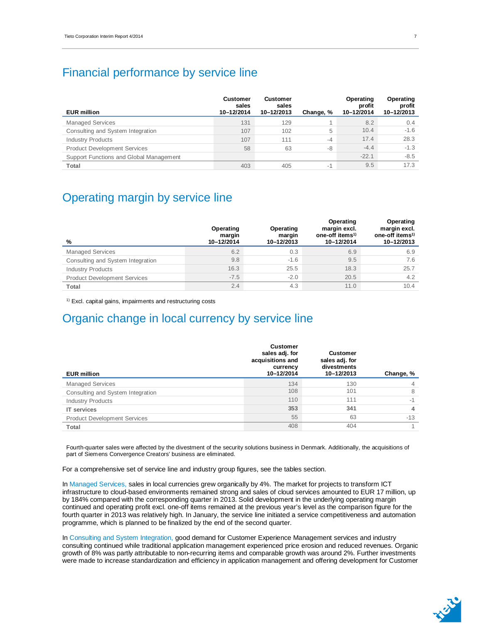### Financial performance by service line

| <b>EUR million</b>                      | <b>Customer</b><br>sales<br>10-12/2014 | <b>Customer</b><br>sales<br>10-12/2013 | Change, % | Operating<br>profit<br>10-12/2014 | Operating<br>profit<br>10-12/2013 |
|-----------------------------------------|----------------------------------------|----------------------------------------|-----------|-----------------------------------|-----------------------------------|
| <b>Managed Services</b>                 | 131                                    | 129                                    |           | 8.2                               | 0.4                               |
| Consulting and System Integration       | 107                                    | 102                                    | 5         | 10.4                              | $-1.6$                            |
| <b>Industry Products</b>                | 107                                    | 111                                    | $-4$      | 17.4                              | 28.3                              |
| <b>Product Development Services</b>     | 58                                     | 63                                     | -8        | $-4.4$                            | $-1.3$                            |
| Support Functions and Global Management |                                        |                                        |           | $-22.1$                           | $-8.5$                            |
| Total                                   | 403                                    | 405                                    | $-1$      | 9.5                               | 17.3                              |

### Operating margin by service line

| %                                   | Operating<br>margin<br>10-12/2014 | Operating<br>margin<br>10-12/2013 | Operating<br>margin excl.<br>one-off items <sup>1)</sup><br>10-12/2014 | Operating<br>margin excl.<br>one-off items <sup>1)</sup><br>10-12/2013 |
|-------------------------------------|-----------------------------------|-----------------------------------|------------------------------------------------------------------------|------------------------------------------------------------------------|
| <b>Managed Services</b>             | 6.2                               | 0.3                               | 6.9                                                                    | 6.9                                                                    |
| Consulting and System Integration   | 9.8                               | $-1.6$                            | 9.5                                                                    | 7.6                                                                    |
| <b>Industry Products</b>            | 16.3                              | 25.5                              | 18.3                                                                   | 25.7                                                                   |
| <b>Product Development Services</b> | $-7.5$                            | $-2.0$                            | 20.5                                                                   | 4.2                                                                    |
| Total                               | 2.4                               | 4.3                               | 11.0                                                                   | 10.4                                                                   |

<sup>1)</sup> Excl. capital gains, impairments and restructuring costs

### Organic change in local currency by service line

| <b>EUR million</b>                  | <b>Customer</b><br>sales adj. for<br>acquisitions and<br>currency<br>10-12/2014 | <b>Customer</b><br>sales adj. for<br>divestments<br>10-12/2013 | Change, % |
|-------------------------------------|---------------------------------------------------------------------------------|----------------------------------------------------------------|-----------|
| <b>Managed Services</b>             | 134                                                                             | 130                                                            | 4         |
| Consulting and System Integration   | 108                                                                             | 101                                                            | 8         |
| <b>Industry Products</b>            | 110                                                                             | 111                                                            | $-1$      |
| <b>IT</b> services                  | 353                                                                             | 341                                                            | 4         |
| <b>Product Development Services</b> | 55                                                                              | 63                                                             | $-13$     |
| Total                               | 408                                                                             | 404                                                            |           |

Fourth-quarter sales were affected by the divestment of the security solutions business in Denmark. Additionally, the acquisitions of part of Siemens Convergence Creators' business are eliminated.

For a comprehensive set of service line and industry group figures, see the tables section.

In Managed Services, sales in local currencies grew organically by 4%. The market for projects to transform ICT infrastructure to cloud-based environments remained strong and sales of cloud services amounted to EUR 17 million, up by 184% compared with the corresponding quarter in 2013. Solid development in the underlying operating margin continued and operating profit excl. one-off items remained at the previous year's level as the comparison figure for the fourth quarter in 2013 was relatively high. In January, the service line initiated a service competitiveness and automation programme, which is planned to be finalized by the end of the second quarter.

In Consulting and System Integration, good demand for Customer Experience Management services and industry consulting continued while traditional application management experienced price erosion and reduced revenues. Organic growth of 8% was partly attributable to non-recurring items and comparable growth was around 2%. Further investments were made to increase standardization and efficiency in application management and offering development for Customer

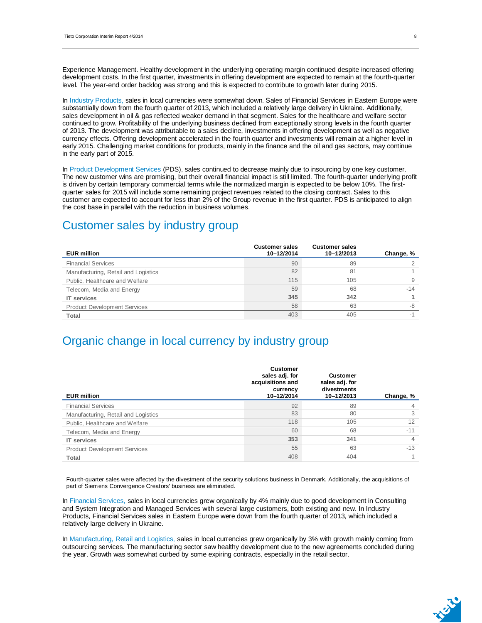Experience Management. Healthy development in the underlying operating margin continued despite increased offering development costs. In the first quarter, investments in offering development are expected to remain at the fourth-quarter level. The year-end order backlog was strong and this is expected to contribute to growth later during 2015.

In Industry Products, sales in local currencies were somewhat down. Sales of Financial Services in Eastern Europe were substantially down from the fourth quarter of 2013, which included a relatively large delivery in Ukraine. Additionally, sales development in oil & gas reflected weaker demand in that segment. Sales for the healthcare and welfare sector continued to grow. Profitability of the underlying business declined from exceptionally strong levels in the fourth quarter of 2013. The development was attributable to a sales decline, investments in offering development as well as negative currency effects. Offering development accelerated in the fourth quarter and investments will remain at a higher level in early 2015. Challenging market conditions for products, mainly in the finance and the oil and gas sectors, may continue in the early part of 2015.

In Product Development Services (PDS), sales continued to decrease mainly due to insourcing by one key customer. The new customer wins are promising, but their overall financial impact is still limited. The fourth-quarter underlying profit is driven by certain temporary commercial terms while the normalized margin is expected to be below 10%. The firstquarter sales for 2015 will include some remaining project revenues related to the closing contract. Sales to this customer are expected to account for less than 2% of the Group revenue in the first quarter. PDS is anticipated to align the cost base in parallel with the reduction in business volumes.

### Customer sales by industry group

| <b>EUR million</b>                  | <b>Customer sales</b><br>10-12/2014 | <b>Customer sales</b><br>10-12/2013 | Change, % |
|-------------------------------------|-------------------------------------|-------------------------------------|-----------|
| <b>Financial Services</b>           | 90                                  | 89                                  |           |
| Manufacturing, Retail and Logistics | 82                                  | 81                                  |           |
| Public, Healthcare and Welfare      | 115                                 | 105                                 | 9         |
| Telecom, Media and Energy           | 59                                  | 68                                  | $-14$     |
| <b>IT</b> services                  | 345                                 | 342                                 |           |
| <b>Product Development Services</b> | 58                                  | 63                                  | -8        |
| <b>Total</b>                        | 403                                 | 405                                 |           |

### Organic change in local currency by industry group

| <b>EUR million</b>                  | <b>Customer</b><br>sales adj. for<br>acquisitions and<br>currency<br>10-12/2014 | <b>Customer</b><br>sales adj. for<br>divestments<br>10-12/2013 | Change, % |
|-------------------------------------|---------------------------------------------------------------------------------|----------------------------------------------------------------|-----------|
| <b>Financial Services</b>           | 92                                                                              | 89                                                             | 4         |
| Manufacturing, Retail and Logistics | 83                                                                              | 80                                                             | 3         |
| Public, Healthcare and Welfare      | 118                                                                             | 105                                                            | 12        |
| Telecom, Media and Energy           | 60                                                                              | 68                                                             | $-11$     |
| <b>IT services</b>                  | 353                                                                             | 341                                                            | 4         |
| <b>Product Development Services</b> | 55                                                                              | 63                                                             | $-13$     |
| Total                               | 408                                                                             | 404                                                            |           |

Fourth-quarter sales were affected by the divestment of the security solutions business in Denmark. Additionally, the acquisitions of part of Siemens Convergence Creators' business are eliminated.

In Financial Services, sales in local currencies grew organically by 4% mainly due to good development in Consulting and System Integration and Managed Services with several large customers, both existing and new. In Industry Products, Financial Services sales in Eastern Europe were down from the fourth quarter of 2013, which included a relatively large delivery in Ukraine.

In Manufacturing, Retail and Logistics, sales in local currencies grew organically by 3% with growth mainly coming from outsourcing services. The manufacturing sector saw healthy development due to the new agreements concluded during the year. Growth was somewhat curbed by some expiring contracts, especially in the retail sector.

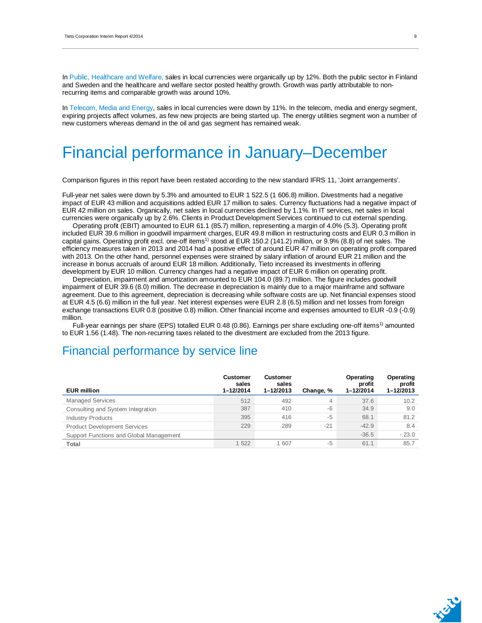In Public, Healthcare and Welfare, sales in local currencies were organically up by 12%. Both the public sector in Finland and Sweden and the healthcare and welfare sector posted healthy growth. Growth was partly attributable to nonrecurring items and comparable growth was around 10%.

In Telecom, Media and Energy, sales in local currencies were down by 11%. In the telecom, media and energy segment, expiring projects affect volumes, as few new projects are being started up. The energy utilities segment won a number of new customers whereas demand in the oil and gas segment has remained weak.

# Financial performance in January–December

Comparison figures in this report have been restated according to the new standard IFRS 11, 'Joint arrangements'.

Full-year net sales were down by 5.3% and amounted to EUR 1 522.5 (1 606.8) million. Divestments had a negative impact of EUR 43 million and acquisitions added EUR 17 million to sales. Currency fluctuations had a negative impact of EUR 42 million on sales. Organically, net sales in local currencies declined by 1.1%. In IT services, net sales in local currencies were organically up by 2.6%. Clients in Product Development Services continued to cut external spending.

Operating profit (EBIT) amounted to EUR 61.1 (85.7) million, representing a margin of 4.0% (5.3). Operating profit included EUR 39.6 million in goodwill impairment charges, EUR 49.8 million in restructuring costs and EUR 0.3 million in capital gains. Operating profit excl. one-off items<sup>1)</sup> stood at EUR 150.2 (141.2) million, or 9.9% (8.8) of net sales. The efficiency measures taken in 2013 and 2014 had a positive effect of around EUR 47 million on operating profit compared with 2013. On the other hand, personnel expenses were strained by salary inflation of around EUR 21 million and the increase in bonus accruals of around EUR 18 million. Additionally, Tieto increased its investments in offering development by EUR 10 million. Currency changes had a negative impact of EUR 6 million on operating profit.

Depreciation, impairment and amortization amounted to EUR 104.0 (89.7) million. The figure includes goodwill impairment of EUR 39.6 (8.0) million. The decrease in depreciation is mainly due to a major mainframe and software agreement. Due to this agreement, depreciation is decreasing while software costs are up. Net financial expenses stood at EUR 4.5 (6.6) million in the full year. Net interest expenses were EUR 2.8 (6.5) million and net losses from foreign exchange transactions EUR 0.8 (positive 0.8) million. Other financial income and expenses amounted to EUR -0.9 (-0.9) million.

Full-year earnings per share (EPS) totalled EUR 0.48 (0.86). Earnings per share excluding one-off items<sup>1)</sup> amounted to EUR 1.56 (1.48). The non-recurring taxes related to the divestment are excluded from the 2013 figure.

### Financial performance by service line

| <b>EUR million</b>                      | <b>Customer</b><br>sales<br>1-12/2014 | <b>Customer</b><br>sales<br>1-12/2013 | Change, % | Operating<br>profit<br>1-12/2014 | Operating<br>profit<br>$1 - 12/2013$ |
|-----------------------------------------|---------------------------------------|---------------------------------------|-----------|----------------------------------|--------------------------------------|
| <b>Managed Services</b>                 | 512                                   | 492                                   | 4         | 37.6                             | 10.2                                 |
| Consulting and System Integration       | 387                                   | 410                                   | $-6$      | 34.9                             | 9.0                                  |
| <b>Industry Products</b>                | 395                                   | 416                                   | $-5$      | 68.1                             | 81.2                                 |
| <b>Product Development Services</b>     | 229                                   | 289                                   | $-21$     | $-42.9$                          | 8.4                                  |
| Support Functions and Global Management |                                       |                                       |           | $-36.5$                          | $-.23.0$                             |
| Total                                   | 1 522                                 | 607                                   | $-5$      | 61.1                             | 85.7                                 |



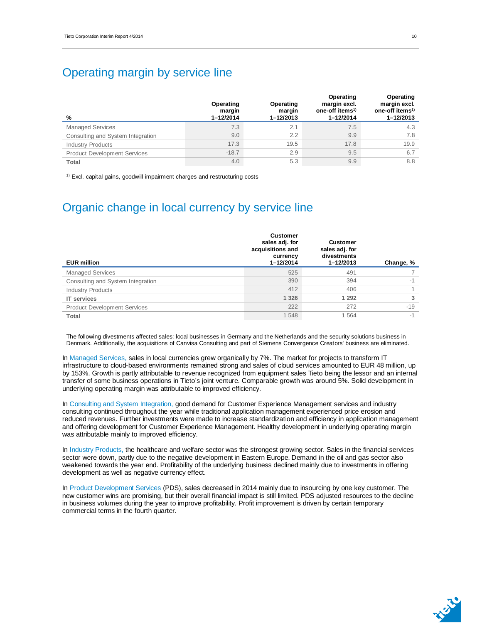### Operating margin by service line

| %                                   | Operating<br>margin<br>$1 - 12/2014$ | Operating<br>margin<br>$1 - 12/2013$ | Operating<br>margin excl.<br>one-off items <sup>1)</sup><br>$1 - 12/2014$ | Operating<br>margin excl.<br>one-off items <sup>1)</sup><br>1-12/2013 |
|-------------------------------------|--------------------------------------|--------------------------------------|---------------------------------------------------------------------------|-----------------------------------------------------------------------|
| <b>Managed Services</b>             | 7.3                                  | 2.1                                  | 7.5                                                                       | 4.3                                                                   |
| Consulting and System Integration   | 9.0                                  | 2.2                                  | 9.9                                                                       | 7.8                                                                   |
| <b>Industry Products</b>            | 17.3                                 | 19.5                                 | 17.8                                                                      | 19.9                                                                  |
| <b>Product Development Services</b> | $-18.7$                              | 2.9                                  | 9.5                                                                       | 6.7                                                                   |
| Total                               | 4.0                                  | 5.3                                  | 9.9                                                                       | 8.8                                                                   |

<sup>1)</sup> Excl. capital gains, goodwill impairment charges and restructuring costs

## Organic change in local currency by service line

| <b>EUR million</b>                  | <b>Customer</b><br>sales adj. for<br>acquisitions and<br>currency<br>1-12/2014 | <b>Customer</b><br>sales adj. for<br>divestments<br>1-12/2013 | Change, % |
|-------------------------------------|--------------------------------------------------------------------------------|---------------------------------------------------------------|-----------|
| <b>Managed Services</b>             | 525                                                                            | 491                                                           |           |
| Consulting and System Integration   | 390                                                                            | 394                                                           | -1        |
| <b>Industry Products</b>            | 412                                                                            | 406                                                           |           |
| <b>IT services</b>                  | 1 3 2 6                                                                        | 1 2 9 2                                                       | 3         |
| <b>Product Development Services</b> | 222                                                                            | 272                                                           | $-19$     |
| Total                               | 1548                                                                           | 1 5 6 4                                                       | $-1$      |

The following divestments affected sales: local businesses in Germany and the Netherlands and the security solutions business in Denmark. Additionally, the acquisitions of Canvisa Consulting and part of Siemens Convergence Creators' business are eliminated.

In Managed Services, sales in local currencies grew organically by 7%. The market for projects to transform IT infrastructure to cloud-based environments remained strong and sales of cloud services amounted to EUR 48 million, up by 153%. Growth is partly attributable to revenue recognized from equipment sales Tieto being the lessor and an internal transfer of some business operations in Tieto's joint venture. Comparable growth was around 5%. Solid development in underlying operating margin was attributable to improved efficiency.

In Consulting and System Integration, good demand for Customer Experience Management services and industry consulting continued throughout the year while traditional application management experienced price erosion and reduced revenues. Further investments were made to increase standardization and efficiency in application management and offering development for Customer Experience Management. Healthy development in underlying operating margin was attributable mainly to improved efficiency.

In Industry Products, the healthcare and welfare sector was the strongest growing sector. Sales in the financial services sector were down, partly due to the negative development in Eastern Europe. Demand in the oil and gas sector also weakened towards the year end. Profitability of the underlying business declined mainly due to investments in offering development as well as negative currency effect.

In Product Development Services (PDS), sales decreased in 2014 mainly due to insourcing by one key customer. The new customer wins are promising, but their overall financial impact is still limited. PDS adjusted resources to the decline in business volumes during the year to improve profitability. Profit improvement is driven by certain temporary commercial terms in the fourth quarter.

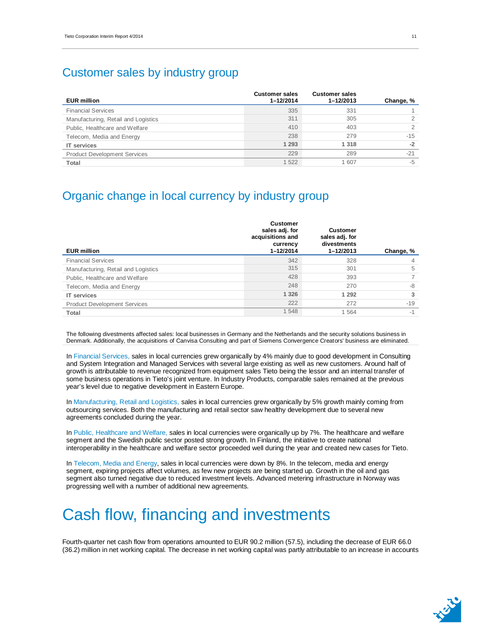### Customer sales by industry group

| <b>EUR million</b>                  | <b>Customer sales</b><br>1-12/2014 | <b>Customer sales</b><br>$1 - 12/2013$ | Change, % |
|-------------------------------------|------------------------------------|----------------------------------------|-----------|
| <b>Financial Services</b>           | 335                                | 331                                    |           |
| Manufacturing, Retail and Logistics | 311                                | 305                                    |           |
| Public, Healthcare and Welfare      | 410                                | 403                                    |           |
| Telecom, Media and Energy           | 238                                | 279                                    | $-15$     |
| <b>IT</b> services                  | 1 2 9 3                            | 1 3 1 8                                | $-2$      |
| <b>Product Development Services</b> | 229                                | 289                                    | $-21$     |
| Total                               | 1522                               | 1 607                                  | $-5$      |

### Organic change in local currency by industry group

| <b>Customer</b><br>sales adj. for<br>acquisitions and<br>currency<br>1-12/2014 | <b>Customer</b><br>sales adj. for<br>divestments<br>$1 - 12/2013$ | Change, % |
|--------------------------------------------------------------------------------|-------------------------------------------------------------------|-----------|
| 342                                                                            | 328                                                               | 4         |
| 315                                                                            | 301                                                               | 5         |
| 428                                                                            | 393                                                               |           |
| 248                                                                            | 270                                                               | -8        |
| 1 3 2 6                                                                        | 1 2 9 2                                                           | 3         |
| 222                                                                            | 272                                                               | $-19$     |
| 1548                                                                           | 1 5 6 4                                                           | $-1$      |
|                                                                                |                                                                   |           |

The following divestments affected sales: local businesses in Germany and the Netherlands and the security solutions business in Denmark. Additionally, the acquisitions of Canvisa Consulting and part of Siemens Convergence Creators' business are eliminated.

In Financial Services, sales in local currencies grew organically by 4% mainly due to good development in Consulting and System Integration and Managed Services with several large existing as well as new customers. Around half of growth is attributable to revenue recognized from equipment sales Tieto being the lessor and an internal transfer of some business operations in Tieto's joint venture. In Industry Products, comparable sales remained at the previous year's level due to negative development in Eastern Europe.

In Manufacturing, Retail and Logistics, sales in local currencies grew organically by 5% growth mainly coming from outsourcing services. Both the manufacturing and retail sector saw healthy development due to several new agreements concluded during the year.

In Public, Healthcare and Welfare, sales in local currencies were organically up by 7%. The healthcare and welfare segment and the Swedish public sector posted strong growth. In Finland, the initiative to create national interoperability in the healthcare and welfare sector proceeded well during the year and created new cases for Tieto.

In Telecom, Media and Energy, sales in local currencies were down by 8%. In the telecom, media and energy segment, expiring projects affect volumes, as few new projects are being started up. Growth in the oil and gas segment also turned negative due to reduced investment levels. Advanced metering infrastructure in Norway was progressing well with a number of additional new agreements.

# Cash flow, financing and investments

Fourth-quarter net cash flow from operations amounted to EUR 90.2 million (57.5), including the decrease of EUR 66.0 (36.2) million in net working capital. The decrease in net working capital was partly attributable to an increase in accounts

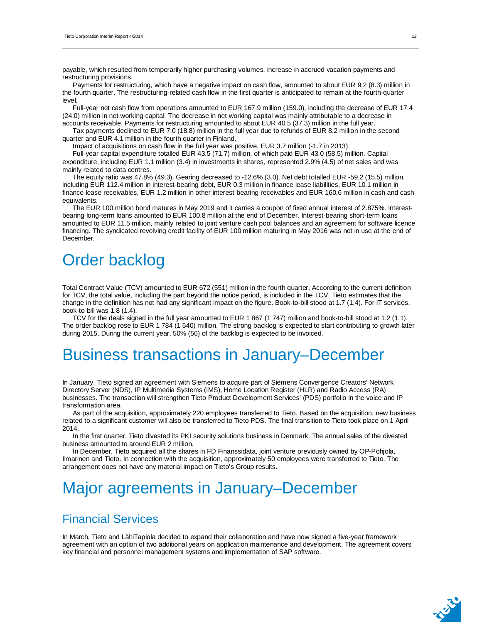payable, which resulted from temporarily higher purchasing volumes, increase in accrued vacation payments and restructuring provisions.

Payments for restructuring, which have a negative impact on cash flow, amounted to about EUR 9.2 (8.3) million in the fourth quarter. The restructuring-related cash flow in the first quarter is anticipated to remain at the fourth-quarter level.

Full-year net cash flow from operations amounted to EUR 167.9 million (159.0), including the decrease of EUR 17.4 (24.0) million in net working capital. The decrease in net working capital was mainly attributable to a decrease in accounts receivable. Payments for restructuring amounted to about EUR 40.5 (37.3) million in the full year.

Tax payments declined to EUR 7.0 (18.8) million in the full year due to refunds of EUR 8.2 million in the second quarter and EUR 4.1 million in the fourth quarter in Finland.

Impact of acquisitions on cash flow in the full year was positive, EUR 3.7 million (-1.7 in 2013).

Full-year capital expenditure totalled EUR 43.5 (71.7) million, of which paid EUR 43.0 (58.5) million. Capital expenditure, including EUR 1.1 million (3.4) in investments in shares, represented 2.9% (4.5) of net sales and was mainly related to data centres.

The equity ratio was 47.8% (49.3). Gearing decreased to -12.6% (3.0). Net debt totalled EUR -59.2 (15.5) million, including EUR 112.4 million in interest-bearing debt, EUR 0.3 million in finance lease liabilities, EUR 10.1 million in finance lease receivables, EUR 1.2 million in other interest-bearing receivables and EUR 160.6 million in cash and cash equivalents.

The EUR 100 million bond matures in May 2019 and it carries a coupon of fixed annual interest of 2.875%. Interestbearing long-term loans amounted to EUR 100.8 million at the end of December. Interest-bearing short-term loans amounted to EUR 11.5 million, mainly related to joint venture cash pool balances and an agreement for software licence financing. The syndicated revolving credit facility of EUR 100 million maturing in May 2016 was not in use at the end of December.

# Order backlog

Total Contract Value (TCV) amounted to EUR 672 (551) million in the fourth quarter. According to the current definition for TCV, the total value, including the part beyond the notice period, is included in the TCV. Tieto estimates that the change in the definition has not had any significant impact on the figure. Book-to-bill stood at 1.7 (1.4). For IT services, book-to-bill was 1.8 (1.4).

TCV for the deals signed in the full year amounted to EUR 1 867 (1 747) million and book-to-bill stood at 1.2 (1.1). The order backlog rose to EUR 1 784 (1 540) million. The strong backlog is expected to start contributing to growth later during 2015. During the current year, 50% (56) of the backlog is expected to be invoiced.

## Business transactions in January–December

In January, Tieto signed an agreement with Siemens to acquire part of Siemens Convergence Creators' Network Directory Server (NDS), IP Multimedia Systems (IMS), Home Location Register (HLR) and Radio Access (RA) businesses. The transaction will strengthen Tieto Product Development Services' (PDS) portfolio in the voice and IP transformation area.

As part of the acquisition, approximately 220 employees transferred to Tieto. Based on the acquisition, new business related to a significant customer will also be transferred to Tieto PDS. The final transition to Tieto took place on 1 April 2014.

In the first quarter, Tieto divested its PKI security solutions business in Denmark. The annual sales of the divested business amounted to around EUR 2 million.

In December, Tieto acquired all the shares in FD Finanssidata, joint venture previously owned by OP-Pohjola, Ilmarinen and Tieto. In connection with the acquisition, approximately 50 employees were transferred to Tieto. The arrangement does not have any material impact on Tieto's Group results.

# Major agreements in January–December

### Financial Services

In March, Tieto and LähiTapiola decided to expand their collaboration and have now signed a five-year framework agreement with an option of two additional years on application maintenance and development. The agreement covers key financial and personnel management systems and implementation of SAP software.

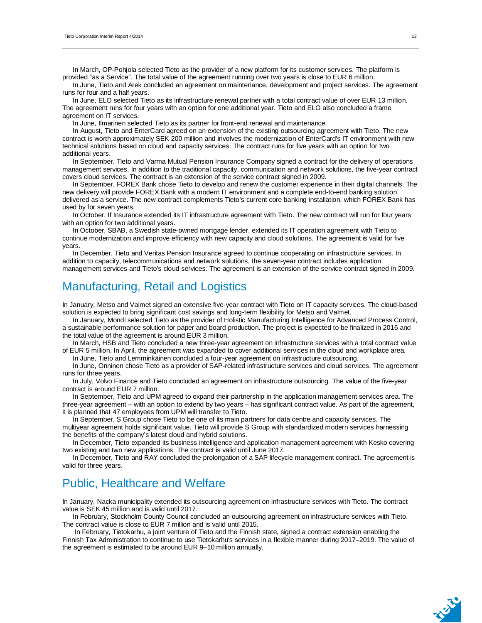In March, OP-Pohjola selected Tieto as the provider of a new platform for its customer services. The platform is provided "as a Service". The total value of the agreement running over two years is close to EUR 6 million.

In June, Tieto and Arek concluded an agreement on maintenance, development and project services. The agreement runs for four and a half years.

In June, ELO selected Tieto as its infrastructure renewal partner with a total contract value of over EUR 13 million. The agreement runs for four years with an option for one additional year. Tieto and ELO also concluded a frame agreement on IT services.

In June, Ilmarinen selected Tieto as its partner for front-end renewal and maintenance.

In August, Tieto and EnterCard agreed on an extension of the existing outsourcing agreement with Tieto. The new contract is worth approximately SEK 200 million and involves the modernization of EnterCard's IT environment with new technical solutions based on cloud and capacity services. The contract runs for five years with an option for two additional years.

In September, Tieto and Varma Mutual Pension Insurance Company signed a contract for the delivery of operations management services. In addition to the traditional capacity, communication and network solutions, the five-year contract covers cloud services. The contract is an extension of the service contract signed in 2009.

In September, FOREX Bank chose Tieto to develop and renew the customer experience in their digital channels. The new delivery will provide FOREX Bank with a modern IT environment and a complete end-to-end banking solution delivered as a service. The new contract complements Tieto's current core banking installation, which FOREX Bank has used by for seven years.

In October, If Insurance extended its IT infrastructure agreement with Tieto. The new contract will run for four years with an option for two additional years.

In October, SBAB, a Swedish state-owned mortgage lender, extended its IT operation agreement with Tieto to continue modernization and improve efficiency with new capacity and cloud solutions. The agreement is valid for five years.

In December, Tieto and Veritas Pension Insurance agreed to continue cooperating on infrastructure services. In addition to capacity, telecommunications and network solutions, the seven-year contract includes application management services and Tieto's cloud services. The agreement is an extension of the service contract signed in 2009.

### Manufacturing, Retail and Logistics

In January, Metso and Valmet signed an extensive five-year contract with Tieto on IT capacity services. The cloud-based solution is expected to bring significant cost savings and long-term flexibility for Metso and Valmet.

In January, Mondi selected Tieto as the provider of Holistic Manufacturing Intelligence for Advanced Process Control, a sustainable performance solution for paper and board production. The project is expected to be finalized in 2016 and the total value of the agreement is around EUR 3 million.

In March, HSB and Tieto concluded a new three-year agreement on infrastructure services with a total contract value of EUR 5 million. In April, the agreement was expanded to cover additional services in the cloud and workplace area.

In June, Tieto and Lemminkäinen concluded a four-year agreement on infrastructure outsourcing.

In June, Onninen chose Tieto as a provider of SAP-related infrastructure services and cloud services. The agreement runs for three years.

In July, Volvo Finance and Tieto concluded an agreement on infrastructure outsourcing. The value of the five-year contract is around EUR 7 million.

In September, Tieto and UPM agreed to expand their partnership in the application management services area. The three-year agreement – with an option to extend by two years – has significant contract value. As part of the agreement, it is planned that 47 employees from UPM will transfer to Tieto.

In September, S Group chose Tieto to be one of its main partners for data centre and capacity services. The multiyear agreement holds significant value. Tieto will provide S Group with standardized modern services harnessing the benefits of the company's latest cloud and hybrid solutions.

In December, Tieto expanded its business intelligence and application management agreement with Kesko covering two existing and two new applications. The contract is valid until June 2017.

In December, Tieto and RAY concluded the prolongation of a SAP lifecycle management contract. The agreement is valid for three years.

### Public, Healthcare and Welfare

In January, Nacka municipality extended its outsourcing agreement on infrastructure services with Tieto. The contract value is SEK 45 million and is valid until 2017.

In February, Stockholm County Council concluded an outsourcing agreement on infrastructure services with Tieto. The contract value is close to EUR 7 million and is valid until 2015.

 In February, Tietokarhu, a joint venture of Tieto and the Finnish state, signed a contract extension enabling the Finnish Tax Administration to continue to use Tietokarhu's services in a flexible manner during 2017–2019. The value of the agreement is estimated to be around EUR 9–10 million annually.

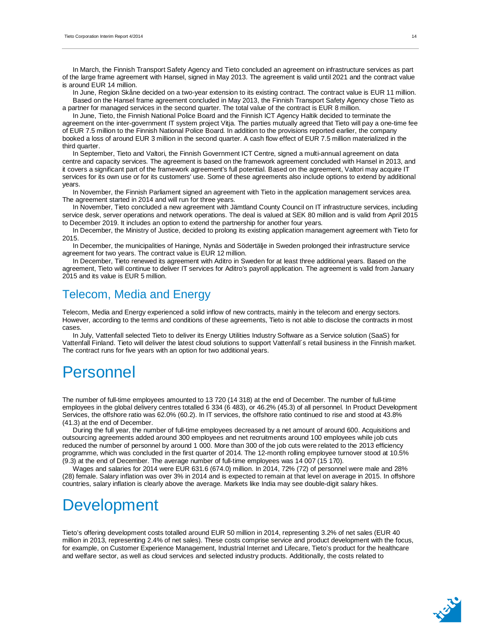In March, the Finnish Transport Safety Agency and Tieto concluded an agreement on infrastructure services as part of the large frame agreement with Hansel, signed in May 2013. The agreement is valid until 2021 and the contract value is around EUR 14 million.

In June, Region Skåne decided on a two-year extension to its existing contract. The contract value is EUR 11 million. Based on the Hansel frame agreement concluded in May 2013, the Finnish Transport Safety Agency chose Tieto as a partner for managed services in the second quarter. The total value of the contract is EUR 8 million.

In June, Tieto, the Finnish National Police Board and the Finnish ICT Agency Haltik decided to terminate the agreement on the inter-government IT system project Vitja. The parties mutually agreed that Tieto will pay a one-time fee of EUR 7.5 million to the Finnish National Police Board. In addition to the provisions reported earlier, the company booked a loss of around EUR 3 million in the second quarter. A cash flow effect of EUR 7.5 million materialized in the third quarter.

In September, Tieto and Valtori, the Finnish Government ICT Centre, signed a multi-annual agreement on data centre and capacity services. The agreement is based on the framework agreement concluded with Hansel in 2013, and it covers a significant part of the framework agreement's full potential. Based on the agreement, Valtori may acquire IT services for its own use or for its customers' use. Some of these agreements also include options to extend by additional years.

In November, the Finnish Parliament signed an agreement with Tieto in the application management services area. The agreement started in 2014 and will run for three years.

In November, Tieto concluded a new agreement with Jämtland County Council on IT infrastructure services, including service desk, server operations and network operations. The deal is valued at SEK 80 million and is valid from April 2015 to December 2019. It includes an option to extend the partnership for another four years.

In December, the Ministry of Justice, decided to prolong its existing application management agreement with Tieto for 2015.

In December, the municipalities of Haninge, Nynäs and Södertälje in Sweden prolonged their infrastructure service agreement for two years. The contract value is EUR 12 million.

In December, Tieto renewed its agreement with Aditro in Sweden for at least three additional years. Based on the agreement, Tieto will continue to deliver IT services for Aditro's payroll application. The agreement is valid from January 2015 and its value is EUR 5 million.

### Telecom, Media and Energy

Telecom, Media and Energy experienced a solid inflow of new contracts, mainly in the telecom and energy sectors. However, according to the terms and conditions of these agreements, Tieto is not able to disclose the contracts in most cases.

In July, Vattenfall selected Tieto to deliver its Energy Utilities Industry Software as a Service solution (SaaS) for Vattenfall Finland. Tieto will deliver the latest cloud solutions to support Vattenfall´s retail business in the Finnish market. The contract runs for five years with an option for two additional years.

# Personnel

The number of full-time employees amounted to 13 720 (14 318) at the end of December. The number of full-time employees in the global delivery centres totalled 6 334 (6 483), or 46.2% (45.3) of all personnel. In Product Development Services, the offshore ratio was 62.0% (60.2). In IT services, the offshore ratio continued to rise and stood at 43.8% (41.3) at the end of December.

During the full year, the number of full-time employees decreased by a net amount of around 600. Acquisitions and outsourcing agreements added around 300 employees and net recruitments around 100 employees while job cuts reduced the number of personnel by around 1 000. More than 300 of the job cuts were related to the 2013 efficiency programme, which was concluded in the first quarter of 2014. The 12-month rolling employee turnover stood at 10.5% (9.3) at the end of December. The average number of full-time employees was 14 007 (15 170).

Wages and salaries for 2014 were EUR 631.6 (674.0) million. In 2014, 72% (72) of personnel were male and 28% (28) female. Salary inflation was over 3% in 2014 and is expected to remain at that level on average in 2015. In offshore countries, salary inflation is clearly above the average. Markets like India may see double-digit salary hikes.

# Development

Tieto's offering development costs totalled around EUR 50 million in 2014, representing 3.2% of net sales (EUR 40 million in 2013, representing 2.4% of net sales). These costs comprise service and product development with the focus, for example, on Customer Experience Management, Industrial Internet and Lifecare, Tieto's product for the healthcare and welfare sector, as well as cloud services and selected industry products. Additionally, the costs related to

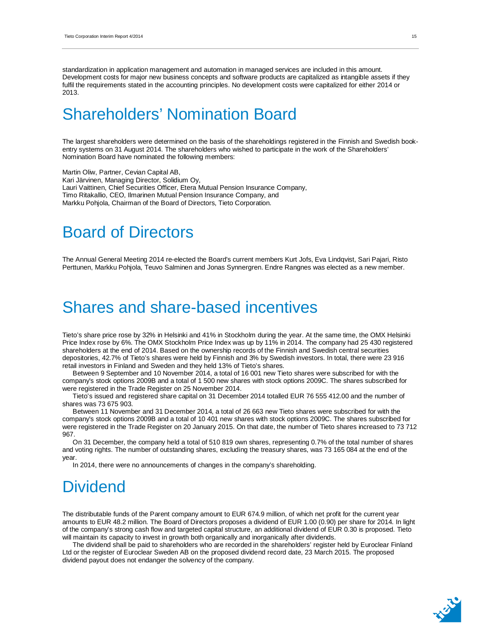standardization in application management and automation in managed services are included in this amount. Development costs for major new business concepts and software products are capitalized as intangible assets if they fulfil the requirements stated in the accounting principles. No development costs were capitalized for either 2014 or 2013.

## Shareholders' Nomination Board

The largest shareholders were determined on the basis of the shareholdings registered in the Finnish and Swedish bookentry systems on 31 August 2014. The shareholders who wished to participate in the work of the Shareholders' Nomination Board have nominated the following members:

Martin Oliw, Partner, Cevian Capital AB, Kari Järvinen, Managing Director, Solidium Oy, Lauri Vaittinen, Chief Securities Officer, Etera Mutual Pension Insurance Company, Timo Ritakallio, CEO, Ilmarinen Mutual Pension Insurance Company, and Markku Pohjola, Chairman of the Board of Directors, Tieto Corporation.

# Board of Directors

The Annual General Meeting 2014 re-elected the Board's current members Kurt Jofs, Eva Lindqvist, Sari Pajari, Risto Perttunen, Markku Pohjola, Teuvo Salminen and Jonas Synnergren. Endre Rangnes was elected as a new member.

## Shares and share-based incentives

Tieto's share price rose by 32% in Helsinki and 41% in Stockholm during the year. At the same time, the OMX Helsinki Price Index rose by 6%. The OMX Stockholm Price Index was up by 11% in 2014. The company had 25 430 registered shareholders at the end of 2014. Based on the ownership records of the Finnish and Swedish central securities depositories, 42.7% of Tieto's shares were held by Finnish and 3% by Swedish investors. In total, there were 23 916 retail investors in Finland and Sweden and they held 13% of Tieto's shares.

Between 9 September and 10 November 2014, a total of 16 001 new Tieto shares were subscribed for with the company's stock options 2009B and a total of 1 500 new shares with stock options 2009C. The shares subscribed for were registered in the Trade Register on 25 November 2014.

Tieto's issued and registered share capital on 31 December 2014 totalled EUR 76 555 412.00 and the number of shares was 73 675 903.

Between 11 November and 31 December 2014, a total of 26 663 new Tieto shares were subscribed for with the company's stock options 2009B and a total of 10 401 new shares with stock options 2009C. The shares subscribed for were registered in the Trade Register on 20 January 2015. On that date, the number of Tieto shares increased to 73 712 967.

On 31 December, the company held a total of 510 819 own shares, representing 0.7% of the total number of shares and voting rights. The number of outstanding shares, excluding the treasury shares, was 73 165 084 at the end of the year.

In 2014, there were no announcements of changes in the company's shareholding.

## **Dividend**

The distributable funds of the Parent company amount to EUR 674.9 million, of which net profit for the current year amounts to EUR 48.2 million. The Board of Directors proposes a dividend of EUR 1.00 (0.90) per share for 2014. In light of the company's strong cash flow and targeted capital structure, an additional dividend of EUR 0.30 is proposed. Tieto will maintain its capacity to invest in growth both organically and inorganically after dividends.

The dividend shall be paid to shareholders who are recorded in the shareholders' register held by Euroclear Finland Ltd or the register of Euroclear Sweden AB on the proposed dividend record date, 23 March 2015. The proposed dividend payout does not endanger the solvency of the company.

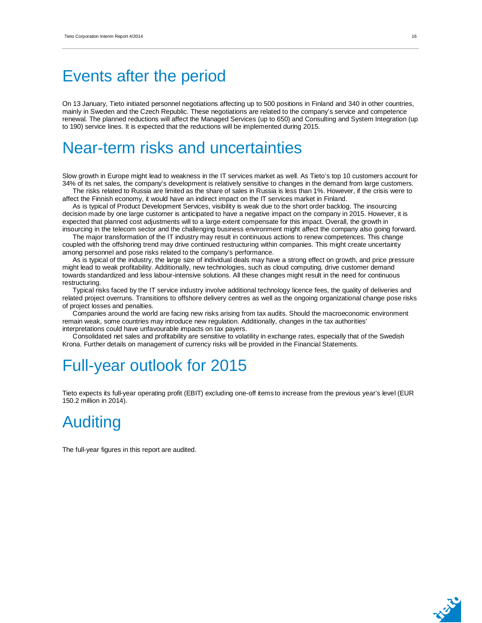## Events after the period

On 13 January, Tieto initiated personnel negotiations affecting up to 500 positions in Finland and 340 in other countries, mainly in Sweden and the Czech Republic. These negotiations are related to the company's service and competence renewal. The planned reductions will affect the Managed Services (up to 650) and Consulting and System Integration (up to 190) service lines. It is expected that the reductions will be implemented during 2015.

## Near-term risks and uncertainties

Slow growth in Europe might lead to weakness in the IT services market as well. As Tieto's top 10 customers account for 34% of its net sales, the company's development is relatively sensitive to changes in the demand from large customers.

The risks related to Russia are limited as the share of sales in Russia is less than 1%. However, if the crisis were to affect the Finnish economy, it would have an indirect impact on the IT services market in Finland.

As is typical of Product Development Services, visibility is weak due to the short order backlog. The insourcing decision made by one large customer is anticipated to have a negative impact on the company in 2015. However, it is expected that planned cost adjustments will to a large extent compensate for this impact. Overall, the growth in insourcing in the telecom sector and the challenging business environment might affect the company also going forward.

The major transformation of the IT industry may result in continuous actions to renew competences. This change coupled with the offshoring trend may drive continued restructuring within companies. This might create uncertainty among personnel and pose risks related to the company's performance.

As is typical of the industry, the large size of individual deals may have a strong effect on growth, and price pressure might lead to weak profitability. Additionally, new technologies, such as cloud computing, drive customer demand towards standardized and less labour-intensive solutions. All these changes might result in the need for continuous restructuring.

Typical risks faced by the IT service industry involve additional technology licence fees, the quality of deliveries and related project overruns. Transitions to offshore delivery centres as well as the ongoing organizational change pose risks of project losses and penalties.

Companies around the world are facing new risks arising from tax audits. Should the macroeconomic environment remain weak, some countries may introduce new regulation. Additionally, changes in the tax authorities' interpretations could have unfavourable impacts on tax payers.

Consolidated net sales and profitability are sensitive to volatility in exchange rates, especially that of the Swedish Krona. Further details on management of currency risks will be provided in the Financial Statements.

# Full-year outlook for 2015

Tieto expects its full-year operating profit (EBIT) excluding one-off items to increase from the previous year's level (EUR 150.2 million in 2014).

# Auditing

The full-year figures in this report are audited.

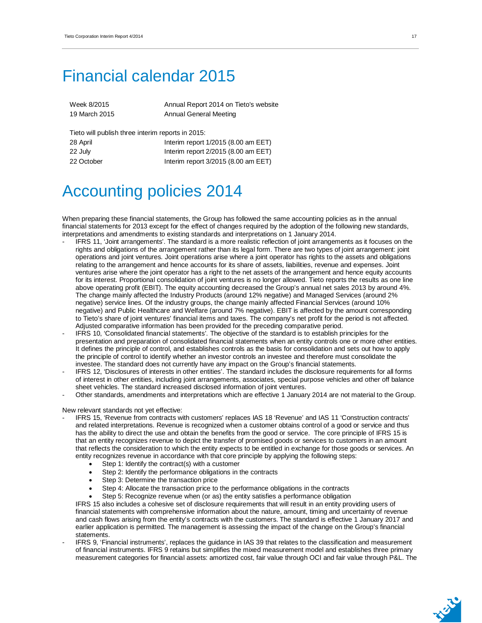# Financial calendar 2015

| Week 8/2015                                       | Annual Report 2014 on Tieto's website |
|---------------------------------------------------|---------------------------------------|
| 19 March 2015                                     | <b>Annual General Meeting</b>         |
|                                                   |                                       |
| Tieto will publish three interim reports in 2015: |                                       |
| 28 April                                          | Interim report $1/2015$ (8.00 am EET) |

| 20/1       | $\frac{1}{2}$ and $\frac{1}{2}$ and $\frac{1}{2}$ and $\frac{1}{2}$ and $\frac{1}{2}$ and $\frac{1}{2}$ and $\frac{1}{2}$ and $\frac{1}{2}$ and $\frac{1}{2}$ |
|------------|---------------------------------------------------------------------------------------------------------------------------------------------------------------|
| 22 July    | Interim report 2/2015 (8.00 am EET)                                                                                                                           |
| 22 October | Interim report 3/2015 (8.00 am EET)                                                                                                                           |

# Accounting policies 2014

When preparing these financial statements, the Group has followed the same accounting policies as in the annual financial statements for 2013 except for the effect of changes required by the adoption of the following new standards, interpretations and amendments to existing standards and interpretations on 1 January 2014.

- IFRS 11, 'Joint arrangements'. The standard is a more realistic reflection of joint arrangements as it focuses on the rights and obligations of the arrangement rather than its legal form. There are two types of joint arrangement: joint operations and joint ventures. Joint operations arise where a joint operator has rights to the assets and obligations relating to the arrangement and hence accounts for its share of assets, liabilities, revenue and expenses. Joint ventures arise where the joint operator has a right to the net assets of the arrangement and hence equity accounts for its interest. Proportional consolidation of joint ventures is no longer allowed. Tieto reports the results as one line above operating profit (EBIT). The equity accounting decreased the Group's annual net sales 2013 by around 4%. The change mainly affected the Industry Products (around 12% negative) and Managed Services (around 2% negative) service lines. Of the industry groups, the change mainly affected Financial Services (around 10% negative) and Public Healthcare and Welfare (around 7% negative). EBIT is affected by the amount corresponding to Tieto's share of joint ventures' financial items and taxes. The company's net profit for the period is not affected. Adjusted comparative information has been provided for the preceding comparative period.
- IFRS 10, 'Consolidated financial statements'. The objective of the standard is to establish principles for the presentation and preparation of consolidated financial statements when an entity controls one or more other entities. It defines the principle of control, and establishes controls as the basis for consolidation and sets out how to apply the principle of control to identify whether an investor controls an investee and therefore must consolidate the investee. The standard does not currently have any impact on the Group's financial statements.
- IFRS 12, 'Disclosures of interests in other entities'. The standard includes the disclosure requirements for all forms of interest in other entities, including joint arrangements, associates, special purpose vehicles and other off balance sheet vehicles. The standard increased disclosed information of joint ventures.
- Other standards, amendments and interpretations which are effective 1 January 2014 are not material to the Group.

New relevant standards not yet effective:

- IFRS 15, 'Revenue from contracts with customers' replaces IAS 18 'Revenue' and IAS 11 'Construction contracts' and related interpretations. Revenue is recognized when a customer obtains control of a good or service and thus has the ability to direct the use and obtain the benefits from the good or service. The core principle of IFRS 15 is that an entity recognizes revenue to depict the transfer of promised goods or services to customers in an amount that reflects the consideration to which the entity expects to be entitled in exchange for those goods or services. An entity recognizes revenue in accordance with that core principle by applying the following steps:
	- Step 1: Identify the contract(s) with a customer
	- Step 2: Identify the performance obligations in the contracts
	- Step 3: Determine the transaction price
	- Step 4: Allocate the transaction price to the performance obligations in the contracts
	- Step 5: Recognize revenue when (or as) the entity satisfies a performance obligation

IFRS 15 also includes a cohesive set of disclosure requirements that will result in an entity providing users of financial statements with comprehensive information about the nature, amount, timing and uncertainty of revenue and cash flows arising from the entity's contracts with the customers. The standard is effective 1 January 2017 and earlier application is permitted. The management is assessing the impact of the change on the Group's financial statements.

IFRS 9, 'Financial instruments', replaces the quidance in IAS 39 that relates to the classification and measurement of financial instruments. IFRS 9 retains but simplifies the mixed measurement model and establishes three primary measurement categories for financial assets: amortized cost, fair value through OCI and fair value through P&L. The

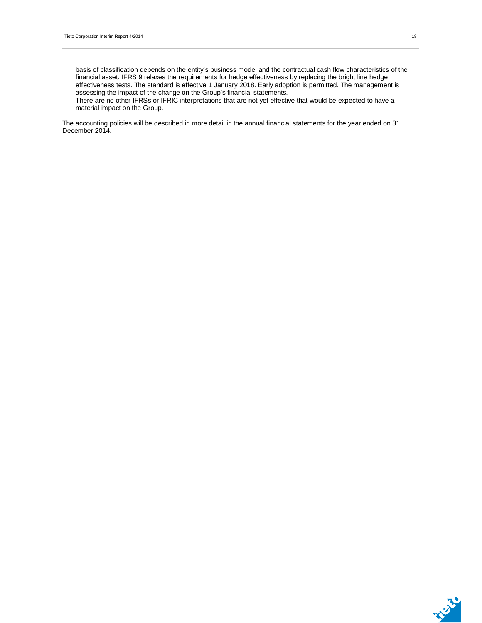- There are no other IFRSs or IFRIC interpretations that are not yet effective that would be expected to have a material impact on the Group.

The accounting policies will be described in more detail in the annual financial statements for the year ended on 31 December 2014.

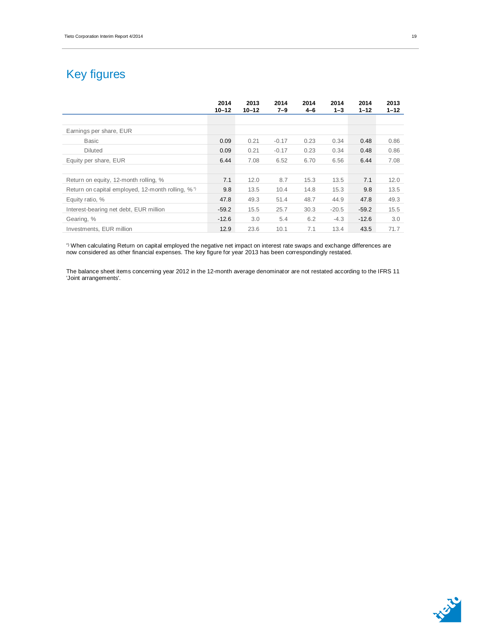## Key figures

|                                                   | 2014<br>$10 - 12$ | 2013<br>$10 - 12$ | 2014<br>$7 - 9$ | 2014<br>$4 - 6$ | 2014<br>$1 - 3$ | 2014<br>$1 - 12$ | 2013<br>$1 - 12$ |
|---------------------------------------------------|-------------------|-------------------|-----------------|-----------------|-----------------|------------------|------------------|
|                                                   |                   |                   |                 |                 |                 |                  |                  |
| Earnings per share, EUR                           |                   |                   |                 |                 |                 |                  |                  |
| <b>Basic</b>                                      | 0.09              | 0.21              | $-0.17$         | 0.23            | 0.34            | 0.48             | 0.86             |
| <b>Diluted</b>                                    | 0.09              | 0.21              | $-0.17$         | 0.23            | 0.34            | 0.48             | 0.86             |
| Equity per share, EUR                             | 6.44              | 7.08              | 6.52            | 6.70            | 6.56            | 6.44             | 7.08             |
|                                                   |                   |                   |                 |                 |                 |                  |                  |
| Return on equity, 12-month rolling, %             | 7.1               | 12.0              | 8.7             | 15.3            | 13.5            | 7.1              | 12.0             |
| Return on capital employed, 12-month rolling, %*) | 9.8               | 13.5              | 10.4            | 14.8            | 15.3            | 9.8              | 13.5             |
| Equity ratio, %                                   | 47.8              | 49.3              | 51.4            | 48.7            | 44.9            | 47.8             | 49.3             |
| Interest-bearing net debt, EUR million            | $-59.2$           | 15.5              | 25.7            | 30.3            | $-20.5$         | $-59.2$          | 15.5             |
| Gearing, %                                        | $-12.6$           | 3.0               | 5.4             | 6.2             | $-4.3$          | $-12.6$          | 3.0              |
| Investments, EUR million                          | 12.9              | 23.6              | 10.1            | 7.1             | 13.4            | 43.5             | 71.7             |

\*) When calculating Return on capital employed the negative net impact on interest rate swaps and exchange differences are now considered as other financial expenses. The key figure for year 2013 has been correspondingly restated.

The balance sheet items concerning year 2012 in the 12-month average denominator are not restated according to the IFRS 11 'Joint arrangements'.

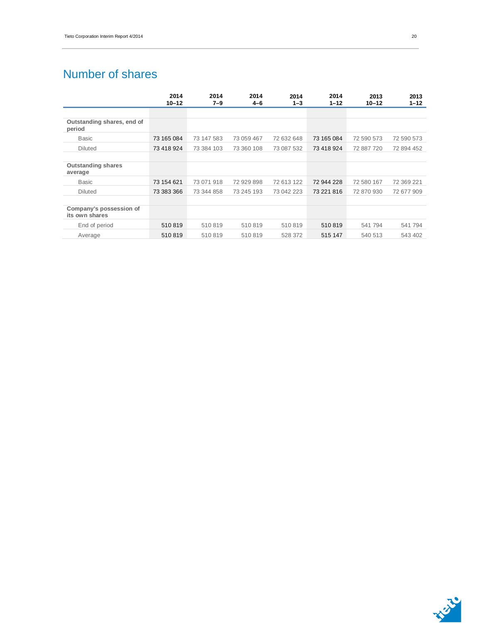## Number of shares

|                                           | 2014<br>$10 - 12$ | 2014<br>7–9 | 2014<br>$4 - 6$ | 2014<br>$1 - 3$ | 2014<br>$1 - 12$ | 2013<br>$10 - 12$ | 2013<br>$1 - 12$ |
|-------------------------------------------|-------------------|-------------|-----------------|-----------------|------------------|-------------------|------------------|
|                                           |                   |             |                 |                 |                  |                   |                  |
| Outstanding shares, end of<br>period      |                   |             |                 |                 |                  |                   |                  |
| <b>Basic</b>                              | 73 165 084        | 73 147 583  | 73 059 467      | 72 632 648      | 73 165 084       | 72 590 573        | 72 590 573       |
| <b>Diluted</b>                            | 73 418 924        | 73 384 103  | 73 360 108      | 73 087 532      | 73 418 924       | 72 887 720        | 72 894 452       |
|                                           |                   |             |                 |                 |                  |                   |                  |
| <b>Outstanding shares</b><br>average      |                   |             |                 |                 |                  |                   |                  |
| <b>Basic</b>                              | 73 154 621        | 73 071 918  | 72 929 898      | 72 613 122      | 72 944 228       | 72 580 167        | 72 369 221       |
| <b>Diluted</b>                            | 73 383 366        | 73 344 858  | 73 245 193      | 73 042 223      | 73 221 816       | 72 870 930        | 72 677 909       |
|                                           |                   |             |                 |                 |                  |                   |                  |
| Company's possession of<br>its own shares |                   |             |                 |                 |                  |                   |                  |
| End of period                             | 510819            | 510819      | 510819          | 510819          | 510819           | 541 794           | 541 794          |
| Average                                   | 510819            | 510819      | 510819          | 528 372         | 515 147          | 540 513           | 543 402          |

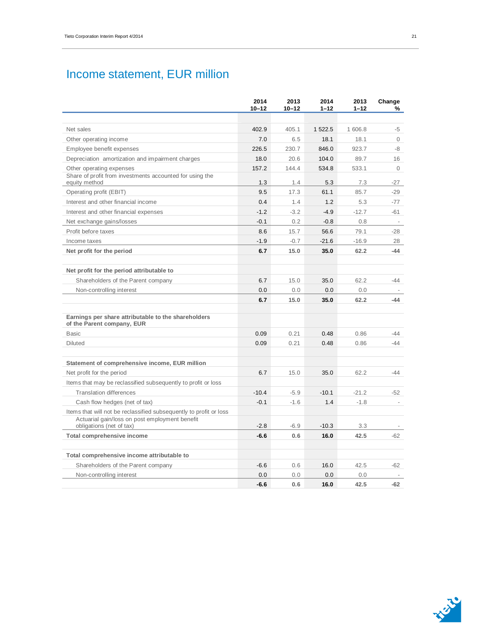## Income statement, EUR million

|                                                                                                                      | 2014<br>$10 - 12$ | 2013<br>$10 - 12$ | 2014<br>$1 - 12$ | 2013<br>$1 - 12$ | Change<br>℅              |
|----------------------------------------------------------------------------------------------------------------------|-------------------|-------------------|------------------|------------------|--------------------------|
|                                                                                                                      |                   |                   |                  |                  |                          |
| Net sales                                                                                                            | 402.9             | 405.1             | 1 522.5          | 1 606.8          | -5                       |
| Other operating income                                                                                               | 7.0               | 6.5               | 18.1             | 18.1             | $\circ$                  |
| Employee benefit expenses                                                                                            | 226.5             | 230.7             | 846.0            | 923.7            | -8                       |
| Depreciation amortization and impairment charges                                                                     | 18.0              | 20.6              | 104.0            | 89.7             | 16                       |
| Other operating expenses                                                                                             | 157.2             | 144.4             | 534.8            | 533.1            | $\circ$                  |
| Share of profit from investments accounted for using the<br>equity method                                            | 1.3               |                   | 5.3              | 7.3              |                          |
| Operating profit (EBIT)                                                                                              | 9.5               | 1.4<br>17.3       | 61.1             | 85.7             | -27<br>$-29$             |
| Interest and other financial income                                                                                  | 0.4               | 1.4               | 1.2              | 5.3              | $-77$                    |
| Interest and other financial expenses                                                                                | $-1.2$            | $-3.2$            | $-4.9$           | $-12.7$          | $-61$                    |
| Net exchange gains/losses                                                                                            | $-0.1$            | 0.2               | $-0.8$           | 0.8              |                          |
| Profit before taxes                                                                                                  | 8.6               | 15.7              | 56.6             | 79.1             | $-28$                    |
|                                                                                                                      | $-1.9$            | $-0.7$            | $-21.6$          | $-16.9$          | 28                       |
| Income taxes<br>Net profit for the period                                                                            | 6.7               | 15.0              | 35.0             | 62.2             | $-44$                    |
|                                                                                                                      |                   |                   |                  |                  |                          |
| Net profit for the period attributable to                                                                            |                   |                   |                  |                  |                          |
| Shareholders of the Parent company                                                                                   | 6.7               | 15.0              | 35.0             | 62.2             | -44                      |
| Non-controlling interest                                                                                             | 0.0               | 0.0               | 0.0              | 0.0              |                          |
|                                                                                                                      | 6.7               | 15.0              | 35.0             | 62.2             | -44                      |
| Earnings per share attributable to the shareholders<br>of the Parent company, EUR                                    |                   |                   |                  |                  |                          |
| <b>Basic</b>                                                                                                         | 0.09              | 0.21              | 0.48             | 0.86             | $-44$                    |
| <b>Diluted</b>                                                                                                       | 0.09              | 0.21              | 0.48             | 0.86             | $-44$                    |
| Statement of comprehensive income, EUR million                                                                       |                   |                   |                  |                  |                          |
| Net profit for the period                                                                                            | 6.7               | 15.0              | 35.0             | 62.2             | $-44$                    |
| Items that may be reclassified subsequently to profit or loss                                                        |                   |                   |                  |                  |                          |
| <b>Translation differences</b>                                                                                       | $-10.4$           | $-5.9$            | $-10.1$          | $-21.2$          | -52                      |
| Cash flow hedges (net of tax)                                                                                        | $-0.1$            | $-1.6$            | 1.4              | $-1.8$           | $\overline{\phantom{a}}$ |
| Items that will not be reclassified subsequently to profit or loss<br>Actuarial gain/loss on post employment benefit |                   |                   |                  |                  |                          |
| obligations (net of tax)                                                                                             | $-2.8$            | $-6.9$            | $-10.3$          | 3.3              |                          |
| Total comprehensive income                                                                                           | $-6.6$            | 0.6               | 16.0             | 42.5             | $-62$                    |
| Total comprehensive income attributable to                                                                           |                   |                   |                  |                  |                          |
| Shareholders of the Parent company                                                                                   | $-6.6$            | 0.6               | 16.0             | 42.5             | $-62$                    |
| Non-controlling interest                                                                                             | 0.0               | 0.0               | 0.0              | 0.0              |                          |
|                                                                                                                      | $-6.6$            | 0.6               | 16.0             | 42.5             | $-62$                    |



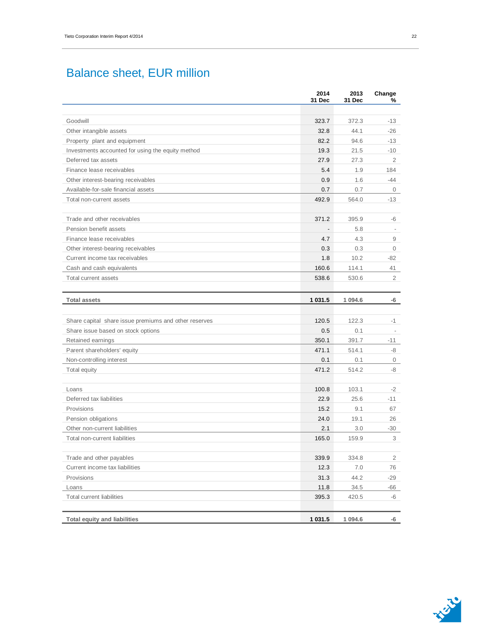## Balance sheet, EUR million

|                                                       | 2014<br>31 Dec | 2013<br>31 Dec | Change<br>% |
|-------------------------------------------------------|----------------|----------------|-------------|
|                                                       |                |                |             |
| Goodwill                                              | 323.7          | 372.3          | -13         |
| Other intangible assets                               | 32.8           | 44.1           | $-26$       |
| Property plant and equipment                          | 82.2           | 94.6           | $-13$       |
| Investments accounted for using the equity method     | 19.3           | 21.5           | -10         |
| Deferred tax assets                                   | 27.9           | 27.3           | 2           |
| Finance lease receivables                             | 5.4            | 1.9            | 184         |
| Other interest-bearing receivables                    | 0.9            | 1.6            | $-44$       |
| Available-for-sale financial assets                   | 0.7            | 0.7            | 0           |
| Total non-current assets                              | 492.9          | 564.0          | $-13$       |
| Trade and other receivables                           | 371.2          | 395.9          | -6          |
| Pension benefit assets                                |                | 5.8            |             |
| Finance lease receivables                             | 4.7            | 4.3            | 9           |
| Other interest-bearing receivables                    | 0.3            | 0.3            | $\mathbf 0$ |
| Current income tax receivables                        | 1.8            | 10.2           | -82         |
| Cash and cash equivalents                             | 160.6          | 114.1          | 41          |
| Total current assets                                  | 538.6          | 530.6          | 2           |
|                                                       |                |                |             |
| <b>Total assets</b>                                   | 1 031.5        | 1 0 9 4 . 6    | -6          |
|                                                       |                |                |             |
| Share capital share issue premiums and other reserves | 120.5          | 122.3          | $-1$        |
| Share issue based on stock options                    | 0.5            | 0.1            |             |
| Retained earnings                                     | 350.1          | 391.7          | -11         |
| Parent shareholders' equity                           | 471.1          | 514.1          | -8          |
| Non-controlling interest                              | 0.1            | 0.1            | 0           |
| Total equity                                          | 471.2          | 514.2          | -8          |
|                                                       |                |                |             |
| Loans                                                 | 100.8          | 103.1          | $-2$        |
| Deferred tax liabilities                              | 22.9           | 25.6           | $-11$       |
| Provisions                                            | 15.2           | 9.1            | 67          |
| Pension obligations                                   | 24.0           | 19.1           | 26          |
| Other non-current liabilities                         | 2.1            | 3.0            | -30         |
| Total non-current liabilities                         | 165.0          | 159.9          | 3           |
| Trade and other payables                              | 339.9          | 334.8          | 2           |
| Current income tax liabilities                        | 12.3           | 7.0            | 76          |
| Provisions                                            | 31.3           | 44.2           | $-29$       |
| Loans                                                 | 11.8           | 34.5           | -66         |
| Total current liabilities                             | 395.3          | 420.5          | -6          |
|                                                       |                |                |             |
| <b>Total equity and liabilities</b>                   | 1 031.5        | 1 094.6        | -6          |

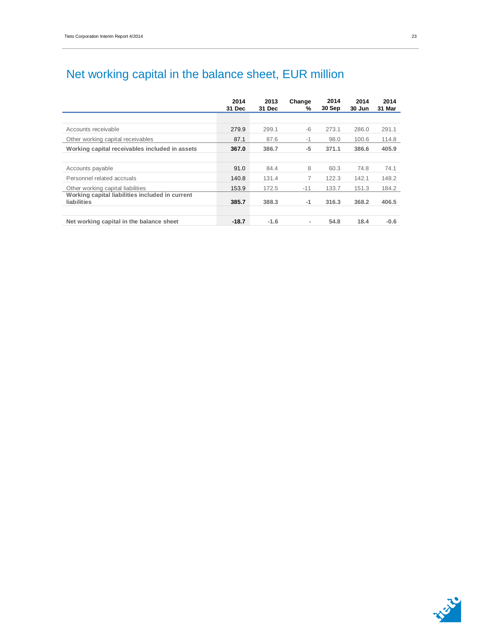## Net working capital in the balance sheet, EUR million

|                                                                | 2014<br>31 Dec | 2013<br>31 Dec | Change<br>℅ | 2014<br>30 Sep | 2014<br>30 Jun | 2014<br>31 Mar |
|----------------------------------------------------------------|----------------|----------------|-------------|----------------|----------------|----------------|
|                                                                |                |                |             |                |                |                |
| Accounts receivable                                            | 279.9          | 299.1          | $-6$        | 273.1          | 286.0          | 291.1          |
| Other working capital receivables                              | 87.1           | 87.6           | $-1$        | 98.0           | 100.6          | 114.8          |
| Working capital receivables included in assets                 | 367.0          | 386.7          | $-5$        | 371.1          | 386.6          | 405.9          |
|                                                                |                |                |             |                |                |                |
| Accounts payable                                               | 91.0           | 84.4           | 8           | 60.3           | 74.8           | 74.1           |
| Personnel related accruals                                     | 140.8          | 131.4          | 7           | 122.3          | 142.1          | 148.2          |
| Other working capital liabilities                              | 153.9          | 172.5          | $-11$       | 133.7          | 151.3          | 184.2          |
| Working capital liabilities included in current<br>liabilities | 385.7          | 388.3          | -1          | 316.3          | 368.2          | 406.5          |
| Net working capital in the balance sheet                       | $-18.7$        | $-1.6$         | ٠           | 54.8           | 18.4           | $-0.6$         |



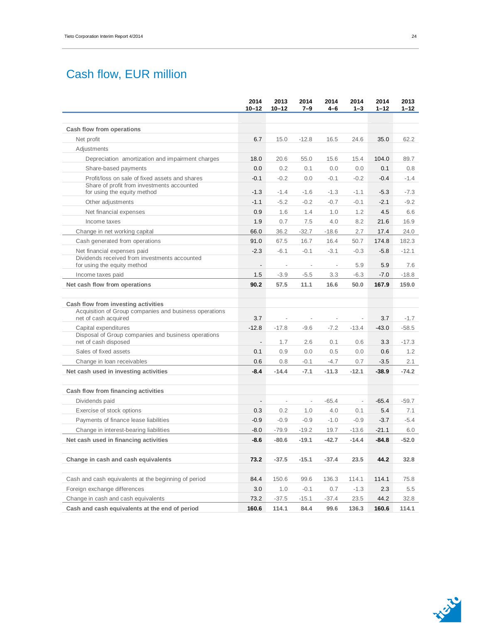## Cash flow, EUR million

|                                                                                                                       | 2014<br>$10 - 12$        | 2013<br>$10 - 12$        | 2014<br>$7 - 9$          | 2014<br>4–6              | 2014<br>$1 - 3$          | 2014<br>$1 - 12$ | 2013<br>$1 - 12$ |
|-----------------------------------------------------------------------------------------------------------------------|--------------------------|--------------------------|--------------------------|--------------------------|--------------------------|------------------|------------------|
| Cash flow from operations                                                                                             |                          |                          |                          |                          |                          |                  |                  |
| Net profit                                                                                                            | 6.7                      | 15.0                     | $-12.8$                  | 16.5                     | 24.6                     | 35.0             | 62.2             |
| Adjustments                                                                                                           |                          |                          |                          |                          |                          |                  |                  |
| Depreciation amortization and impairment charges                                                                      | 18.0                     | 20.6                     | 55.0                     | 15.6                     | 15.4                     | 104.0            | 89.7             |
| Share-based payments                                                                                                  | 0.0                      | 0.2                      | 0.1                      | 0.0                      | 0.0                      | 0.1              | 0.8              |
| Profit/loss on sale of fixed assets and shares<br>Share of profit from investments accounted                          | $-0.1$                   | $-0.2$                   | 0.0                      | $-0.1$                   | $-0.2$                   | $-0.4$           | $-1.4$           |
| for using the equity method                                                                                           | $-1.3$                   | $-1.4$                   | $-1.6$                   | $-1.3$                   | $-1.1$                   | $-5.3$           | $-7.3$           |
| Other adjustments                                                                                                     | $-1.1$                   | $-5.2$                   | $-0.2$                   | $-0.7$                   | $-0.1$                   | $-2.1$           | $-9.2$           |
| Net financial expenses                                                                                                | 0.9                      | 1.6                      | 1.4                      | 1.0                      | 1.2                      | 4.5              | 6.6              |
| Income taxes                                                                                                          | 1.9                      | 0.7                      | 7.5                      | 4.0                      | 8.2                      | 21.6             | 16.9             |
| Change in net working capital                                                                                         | 66.0                     | 36.2                     | $-32.7$                  | $-18.6$                  | 2.7                      | 17.4             | 24.0             |
| Cash generated from operations                                                                                        | 91.0                     | 67.5                     | 16.7                     | 16.4                     | 50.7                     | 174.8            | 182.3            |
| Net financial expenses paid                                                                                           | $-2.3$                   | $-6.1$                   | $-0.1$                   | $-3.1$                   | $-0.3$                   | $-5.8$           | $-12.1$          |
| Dividends received from investments accounted<br>for using the equity method                                          | $\overline{\phantom{a}}$ | $\overline{\phantom{a}}$ | $\overline{\phantom{0}}$ | $\overline{\phantom{a}}$ | 5.9                      | 5.9              | 7.6              |
| Income taxes paid                                                                                                     | 1.5                      | $-3.9$                   | $-5.5$                   | 3.3                      | $-6.3$                   | $-7.0$           | $-18.8$          |
| Net cash flow from operations                                                                                         | 90.2                     | 57.5                     | 11.1                     | 16.6                     | 50.0                     | 167.9            | 159.0            |
| Cash flow from investing activities<br>Acquisition of Group companies and business operations<br>net of cash acquired | 3.7                      | $\overline{\phantom{a}}$ | $\overline{a}$           | $\overline{\phantom{a}}$ | $\overline{\phantom{a}}$ | 3.7              | $-1.7$           |
| Capital expenditures                                                                                                  | $-12.8$                  | $-17.8$                  | $-9.6$                   | $-7.2$                   | $-13.4$                  | $-43.0$          | $-58.5$          |
| Disposal of Group companies and business operations<br>net of cash disposed                                           | $\overline{a}$           | 1.7                      | 2.6                      | 0.1                      | 0.6                      | 3.3              | $-17.3$          |
| Sales of fixed assets                                                                                                 | 0.1                      | 0.9                      | 0.0                      | 0.5                      | 0.0                      | 0.6              | 1.2              |
| Change in loan receivables                                                                                            | 0.6                      | 0.8                      | $-0.1$                   | $-4.7$                   | 0.7                      | $-3.5$           | 2.1              |
| Net cash used in investing activities                                                                                 | $-8.4$                   | $-14.4$                  | $-7.1$                   | $-11.3$                  | $-12.1$                  | $-38.9$          | $-74.2$          |
| Cash flow from financing activities                                                                                   |                          |                          |                          |                          |                          |                  |                  |
| Dividends paid                                                                                                        | $\overline{a}$           | $\overline{\phantom{a}}$ | $\frac{1}{2}$            | $-65.4$                  | $\overline{\phantom{a}}$ | $-65.4$          | $-59.7$          |
| Exercise of stock options                                                                                             | 0.3                      | 0.2                      | 1.0                      | 4.0                      | 0.1                      | 5.4              | 7.1              |
| Payments of finance lease liabilities                                                                                 | $-0.9$                   | $-0.9$                   | $-0.9$                   | $-1.0$                   | $-0.9$                   | $-3.7$           | $-5.4$           |
| Change in interest-bearing liabilities                                                                                | $-8.0$                   | $-79.9$                  | $-19.2$                  | 19.7                     | $-13.6$                  | $-21.1$          | 6.0              |
| Net cash used in financing activities                                                                                 | $-8.6$                   | $-80.6$                  | $-19.1$                  | $-42.7$                  | $-14.4$                  | $-84.8$          | $-52.0$          |
|                                                                                                                       |                          |                          |                          |                          |                          |                  |                  |
| Change in cash and cash equivalents                                                                                   | 73.2                     | $-37.5$                  | $-15.1$                  | $-37.4$                  | 23.5                     | 44.2             | 32.8             |
| Cash and cash equivalents at the beginning of period                                                                  | 84.4                     | 150.6                    | 99.6                     | 136.3                    | 114.1                    | 114.1            | 75.8             |
| Foreign exchange differences                                                                                          | 3.0                      | 1.0                      | $-0.1$                   | 0.7                      | $-1.3$                   | 2.3              | 5.5              |
| Change in cash and cash equivalents                                                                                   | 73.2                     | $-37.5$                  | $-15.1$                  | -37.4                    | 23.5                     | 44.2             | 32.8             |
| Cash and cash equivalents at the end of period                                                                        | 160.6                    | 114.1                    | 84.4                     | 99.6                     | 136.3                    | 160.6            | 114.1            |

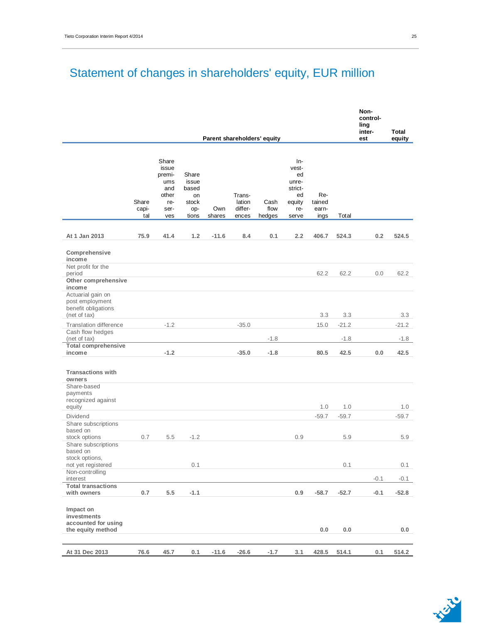# Statement of changes in shareholders' equity, EUR million

|                                                                       |                       |                                                                       |                                                        |               |                                      |                             |                                                                          |                                |         | Non-<br>control-<br>ling<br>inter- | <b>Total</b> |
|-----------------------------------------------------------------------|-----------------------|-----------------------------------------------------------------------|--------------------------------------------------------|---------------|--------------------------------------|-----------------------------|--------------------------------------------------------------------------|--------------------------------|---------|------------------------------------|--------------|
|                                                                       |                       |                                                                       |                                                        |               |                                      | Parent shareholders' equity |                                                                          |                                |         | est                                | equity       |
|                                                                       | Share<br>capi-<br>tal | Share<br>issue<br>premi-<br>ums<br>and<br>other<br>re-<br>ser-<br>ves | Share<br>issue<br>based<br>on<br>stock<br>op-<br>tions | Own<br>shares | Trans-<br>lation<br>differ-<br>ences | Cash<br>flow<br>hedges      | $In-$<br>vest-<br>ed<br>unre-<br>strict-<br>ed<br>equity<br>re-<br>serve | Re-<br>tained<br>earn-<br>ings | Total   |                                    |              |
| At 1 Jan 2013                                                         | 75.9                  | 41.4                                                                  | 1.2                                                    | $-11.6$       | 8.4                                  | 0.1                         | 2.2                                                                      | 406.7                          | 524.3   | 0.2                                | 524.5        |
| Comprehensive<br>income                                               |                       |                                                                       |                                                        |               |                                      |                             |                                                                          |                                |         |                                    |              |
| Net profit for the<br>period<br>Other comprehensive                   |                       |                                                                       |                                                        |               |                                      |                             |                                                                          | 62.2                           | 62.2    | 0.0                                | 62.2         |
| income<br>Actuarial gain on<br>post employment<br>benefit obligations |                       |                                                                       |                                                        |               |                                      |                             |                                                                          |                                |         |                                    |              |
| (net of tax)                                                          |                       |                                                                       |                                                        |               |                                      |                             |                                                                          | 3.3                            | 3.3     |                                    | 3.3          |
| <b>Translation difference</b>                                         |                       | $-1.2$                                                                |                                                        |               | $-35.0$                              |                             |                                                                          | 15.0                           | $-21.2$ |                                    | $-21.2$      |
| Cash flow hedges<br>(net of tax)<br><b>Total comprehensive</b>        |                       |                                                                       |                                                        |               |                                      | $-1.8$                      |                                                                          |                                | $-1.8$  |                                    | $-1.8$       |
| income                                                                |                       | $-1.2$                                                                |                                                        |               | $-35.0$                              | $-1.8$                      |                                                                          | 80.5                           | 42.5    | 0.0                                | 42.5         |
| <b>Transactions with</b><br>owners<br>Share-based<br>payments         |                       |                                                                       |                                                        |               |                                      |                             |                                                                          |                                |         |                                    |              |
| recognized against<br>equity                                          |                       |                                                                       |                                                        |               |                                      |                             |                                                                          | 1.0                            | 1.0     |                                    | 1.0          |
| Dividend                                                              |                       |                                                                       |                                                        |               |                                      |                             |                                                                          | $-59.7$                        | $-59.7$ |                                    | $-59.7$      |
| Share subscriptions<br>based on<br>stock options                      | 0.7                   | 5.5                                                                   | $-1.2$                                                 |               |                                      |                             | 0.9                                                                      |                                | 5.9     |                                    | 5.9          |
| Share subscriptions<br>based on                                       |                       |                                                                       |                                                        |               |                                      |                             |                                                                          |                                |         |                                    |              |
| stock options,<br>not yet registered                                  |                       |                                                                       | 0.1                                                    |               |                                      |                             |                                                                          |                                | 0.1     |                                    | 0.1          |
| Non-controlling<br>interest                                           |                       |                                                                       |                                                        |               |                                      |                             |                                                                          |                                |         | $-0.1$                             | $-0.1$       |
| <b>Total transactions</b><br>with owners                              | 0.7                   | 5.5                                                                   | $-1.1$                                                 |               |                                      |                             | 0.9                                                                      | $-58.7$                        | $-52.7$ | $-0.1$                             | $-52.8$      |
| Impact on<br>investments<br>accounted for using<br>the equity method  |                       |                                                                       |                                                        |               |                                      |                             |                                                                          | 0.0                            | 0.0     |                                    | 0.0          |
|                                                                       |                       |                                                                       |                                                        |               |                                      |                             |                                                                          |                                |         |                                    |              |
| At 31 Dec 2013                                                        | 76.6                  | 45.7                                                                  | 0.1                                                    | $-11.6$       | $-26.6$                              | $-1.7$                      | 3.1                                                                      | 428.5                          | 514.1   | 0.1                                | 514.2        |

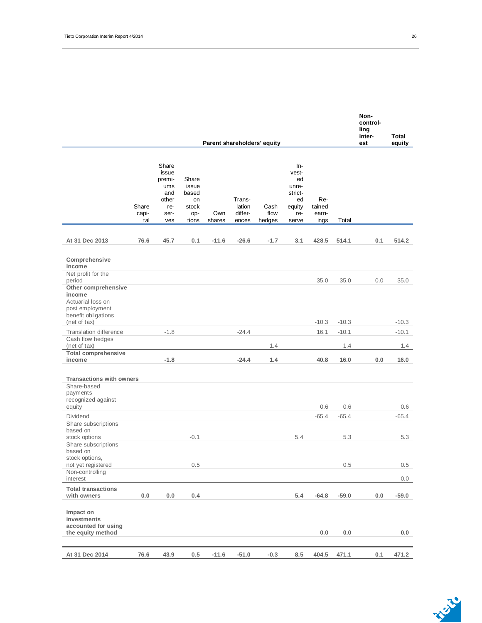|                                                                                    |                       |                                                                       |                                                        |               |                                      | Parent shareholders' equity |                                                                        |                                |         | control-<br>ling<br>inter-<br>est | Total<br>equity |
|------------------------------------------------------------------------------------|-----------------------|-----------------------------------------------------------------------|--------------------------------------------------------|---------------|--------------------------------------|-----------------------------|------------------------------------------------------------------------|--------------------------------|---------|-----------------------------------|-----------------|
|                                                                                    | Share<br>capi-<br>tal | Share<br>issue<br>premi-<br>ums<br>and<br>other<br>re-<br>ser-<br>ves | Share<br>issue<br>based<br>on<br>stock<br>op-<br>tions | Own<br>shares | Trans-<br>lation<br>differ-<br>ences | Cash<br>flow<br>hedges      | In-<br>vest-<br>ed<br>unre-<br>strict-<br>ed<br>equity<br>re-<br>serve | Re-<br>tained<br>earn-<br>ings | Total   |                                   |                 |
| At 31 Dec 2013                                                                     | 76.6                  | 45.7                                                                  | 0.1                                                    | $-11.6$       | $-26.6$                              | $-1.7$                      | 3.1                                                                    | 428.5                          | 514.1   | 0.1                               | 514.2           |
| Comprehensive<br>income                                                            |                       |                                                                       |                                                        |               |                                      |                             |                                                                        |                                |         |                                   |                 |
| Net profit for the<br>period<br>Other comprehensive<br>income<br>Actuarial loss on |                       |                                                                       |                                                        |               |                                      |                             |                                                                        | 35.0                           | 35.0    | 0.0                               | 35.0            |
| post employment<br>benefit obligations<br>(net of tax)                             |                       |                                                                       |                                                        |               |                                      |                             |                                                                        | $-10.3$                        | $-10.3$ |                                   | $-10.3$         |
| Translation difference                                                             |                       | $-1.8$                                                                |                                                        |               | $-24.4$                              |                             |                                                                        | 16.1                           | $-10.1$ |                                   | $-10.1$         |
| Cash flow hedges<br>(net of tax)<br><b>Total comprehensive</b>                     |                       |                                                                       |                                                        |               |                                      | 1.4                         |                                                                        |                                | 1.4     |                                   | 1.4             |
| income                                                                             |                       | $-1.8$                                                                |                                                        |               | $-24.4$                              | 1.4                         |                                                                        | 40.8                           | 16.0    | 0.0                               | 16.0            |
|                                                                                    |                       |                                                                       |                                                        |               |                                      |                             |                                                                        |                                |         |                                   |                 |
| <b>Transactions with owners</b><br>Share-based                                     |                       |                                                                       |                                                        |               |                                      |                             |                                                                        |                                |         |                                   |                 |
| payments                                                                           |                       |                                                                       |                                                        |               |                                      |                             |                                                                        |                                |         |                                   |                 |
| recognized against<br>equity                                                       |                       |                                                                       |                                                        |               |                                      |                             |                                                                        | 0.6                            | 0.6     |                                   | 0.6             |
| Dividend                                                                           |                       |                                                                       |                                                        |               |                                      |                             |                                                                        | $-65.4$                        | $-65.4$ |                                   | $-65.4$         |
| Share subscriptions                                                                |                       |                                                                       |                                                        |               |                                      |                             |                                                                        |                                |         |                                   |                 |
| based on                                                                           |                       |                                                                       |                                                        |               |                                      |                             |                                                                        |                                |         |                                   |                 |
| stock options<br>Share subscriptions<br>based on<br>stock options,                 |                       |                                                                       | $-0.1$                                                 |               |                                      |                             | 5.4                                                                    |                                | 5.3     |                                   | 5.3             |
| not yet registered                                                                 |                       |                                                                       | 0.5                                                    |               |                                      |                             |                                                                        |                                | 0.5     |                                   | 0.5             |
| Non-controlling<br>interest                                                        |                       |                                                                       |                                                        |               |                                      |                             |                                                                        |                                |         |                                   | 0.0             |
| <b>Total transactions</b><br>with owners                                           | $0.0\,$               | 0.0                                                                   | 0.4                                                    |               |                                      |                             | 5.4                                                                    | $-64.8$                        | $-59.0$ | 0.0                               | $-59.0$         |
| Impact on<br>investments<br>accounted for using<br>the equity method               |                       |                                                                       |                                                        |               |                                      |                             |                                                                        | 0.0                            | 0.0     |                                   | 0.0             |
|                                                                                    |                       |                                                                       |                                                        |               |                                      |                             |                                                                        |                                |         |                                   |                 |
| At 31 Dec 2014                                                                     | 76.6                  | 43.9                                                                  | 0.5                                                    | $-11.6$       | $-51.0$                              | $-0.3$                      | 8.5                                                                    | 404.5                          | 471.1   | 0.1                               | 471.2           |

**Non-**

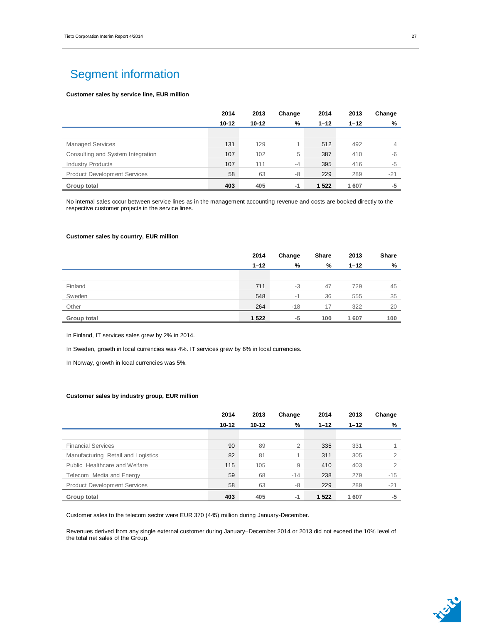## Segment information

### **Customer sales by service line, EUR million**

|                                     | 2014      | 2013      | Change | 2014     | 2013     | Change |
|-------------------------------------|-----------|-----------|--------|----------|----------|--------|
|                                     | $10 - 12$ | $10 - 12$ | %      | $1 - 12$ | $1 - 12$ | %      |
|                                     |           |           |        |          |          |        |
| <b>Managed Services</b>             | 131       | 129       | 4      | 512      | 492      | 4      |
| Consulting and System Integration   | 107       | 102       | 5      | 387      | 410      | -6     |
| <b>Industry Products</b>            | 107       | 111       | $-4$   | 395      | 416      | -5     |
| <b>Product Development Services</b> | 58        | 63        | -8     | 229      | 289      | $-21$  |
| Group total                         | 403       | 405       | $-1$   | 1 5 2 2  | 1607     | -5     |

No internal sales occur between service lines as in the management accounting revenue and costs are booked directly to the respective customer projects in the service lines.

#### **Customer sales by country, EUR million**

|                    | 2014     | Change | Share | 2013     | Share |
|--------------------|----------|--------|-------|----------|-------|
|                    | $1 - 12$ | %      | %     | $1 - 12$ | %     |
|                    |          |        |       |          |       |
| Finland            | 711      | -3     | 47    | 729      | 45    |
| Sweden             | 548      | $-1$   | 36    | 555      | 35    |
| Other              | 264      | $-18$  | 17    | 322      | 20    |
| <b>Group total</b> | 1 5 2 2  | $-5$   | 100   | 1 607    | 100   |

In Finland, IT services sales grew by 2% in 2014.

In Sweden, growth in local currencies was 4%. IT services grew by 6% in local currencies.

In Norway, growth in local currencies was 5%.

#### **Customer sales by industry group, EUR million**

|                                     | 2014      | 2013      | Change         | 2014     | 2013     | Change         |
|-------------------------------------|-----------|-----------|----------------|----------|----------|----------------|
|                                     | $10 - 12$ | $10 - 12$ | %              | $1 - 12$ | $1 - 12$ | %              |
|                                     |           |           |                |          |          |                |
| <b>Financial Services</b>           | 90        | 89        | $\overline{2}$ | 335      | 331      |                |
| Manufacturing Retail and Logistics  | 82        | 81        | 1              | 311      | 305      | $\overline{2}$ |
| Public Healthcare and Welfare       | 115       | 105       | 9              | 410      | 403      | $\overline{2}$ |
| Telecom Media and Energy            | 59        | 68        | $-14$          | 238      | 279      | -15            |
| <b>Product Development Services</b> | 58        | 63        | -8             | 229      | 289      | $-21$          |
| Group total                         | 403       | 405       | $-1$           | 1 5 2 2  | 1607     | $-5$           |

Customer sales to the telecom sector were EUR 370 (445) million during January-December.

Revenues derived from any single external customer during January–December 2014 or 2013 did not exceed the 10% level of the total net sales of the Group.

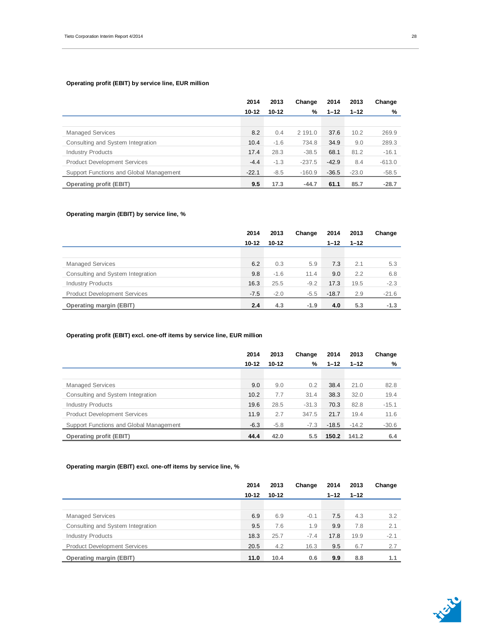### **Operating profit (EBIT) by service line, EUR million**

|                                         | 2014    | 2013      | Change   | 2014     | 2013     | Change   |
|-----------------------------------------|---------|-----------|----------|----------|----------|----------|
|                                         | 10-12   | $10 - 12$ | %        | $1 - 12$ | $1 - 12$ | %        |
|                                         |         |           |          |          |          |          |
| <b>Managed Services</b>                 | 8.2     | 0.4       | 2 191.0  | 37.6     | 10.2     | 269.9    |
| Consulting and System Integration       | 10.4    | $-1.6$    | 734.8    | 34.9     | 9.0      | 289.3    |
| <b>Industry Products</b>                | 17.4    | 28.3      | $-38.5$  | 68.1     | 81.2     | $-16.1$  |
| <b>Product Development Services</b>     | $-4.4$  | $-1.3$    | $-237.5$ | $-42.9$  | 8.4      | $-613.0$ |
| Support Functions and Global Management | $-22.1$ | $-8.5$    | $-160.9$ | $-36.5$  | $-23.0$  | $-58.5$  |
| <b>Operating profit (EBIT)</b>          | 9.5     | 17.3      | $-44.7$  | 61.1     | 85.7     | $-28.7$  |

#### **Operating margin (EBIT) by service line, %**

|                                     | 2014      | 2013      | Change | 2014     | 2013     | Change  |
|-------------------------------------|-----------|-----------|--------|----------|----------|---------|
|                                     | $10 - 12$ | $10 - 12$ |        | $1 - 12$ | $1 - 12$ |         |
|                                     |           |           |        |          |          |         |
| <b>Managed Services</b>             | 6.2       | 0.3       | 5.9    | 7.3      | 2.1      | 5.3     |
| Consulting and System Integration   | 9.8       | $-1.6$    | 11.4   | 9.0      | 2.2      | 6.8     |
| <b>Industry Products</b>            | 16.3      | 25.5      | $-9.2$ | 17.3     | 19.5     | $-2.3$  |
| <b>Product Development Services</b> | $-7.5$    | $-2.0$    | $-5.5$ | $-18.7$  | 2.9      | $-21.6$ |
| <b>Operating margin (EBIT)</b>      | 2.4       | 4.3       | $-1.9$ | 4.0      | 5.3      | $-1.3$  |

### **Operating profit (EBIT) excl. one-off items by service line, EUR million**

|                                         | 2014      | 2013      | Change  | 2014     | 2013     | Change  |
|-----------------------------------------|-----------|-----------|---------|----------|----------|---------|
|                                         | $10 - 12$ | $10 - 12$ | %       | $1 - 12$ | $1 - 12$ | %       |
|                                         |           |           |         |          |          |         |
| <b>Managed Services</b>                 | 9.0       | 9.0       | 0.2     | 38.4     | 21.0     | 82.8    |
| Consulting and System Integration       | 10.2      | 7.7       | 31.4    | 38.3     | 32.0     | 19.4    |
| <b>Industry Products</b>                | 19.6      | 28.5      | $-31.3$ | 70.3     | 82.8     | $-15.1$ |
| <b>Product Development Services</b>     | 11.9      | 2.7       | 347.5   | 21.7     | 19.4     | 11.6    |
| Support Functions and Global Management | $-6.3$    | $-5.8$    | $-7.3$  | $-18.5$  | $-14.2$  | $-30.6$ |
| <b>Operating profit (EBIT)</b>          | 44.4      | 42.0      | 5.5     | 150.2    | 141.2    | 6.4     |

### **Operating margin (EBIT) excl. one-off items by service line, %**

|                                     | 2014      | 2013      | Change | 2014     | 2013     | Change |
|-------------------------------------|-----------|-----------|--------|----------|----------|--------|
|                                     | $10 - 12$ | $10 - 12$ |        | $1 - 12$ | $1 - 12$ |        |
|                                     |           |           |        |          |          |        |
| <b>Managed Services</b>             | 6.9       | 6.9       | $-0.1$ | 7.5      | 4.3      | 3.2    |
| Consulting and System Integration   | 9.5       | 7.6       | 1.9    | 9.9      | 7.8      | 2.1    |
| <b>Industry Products</b>            | 18.3      | 25.7      | $-7.4$ | 17.8     | 19.9     | $-2.1$ |
| <b>Product Development Services</b> | 20.5      | 4.2       | 16.3   | 9.5      | 6.7      | 2.7    |
| <b>Operating margin (EBIT)</b>      | 11.0      | 10.4      | 0.6    | 9.9      | 8.8      | 1.1    |

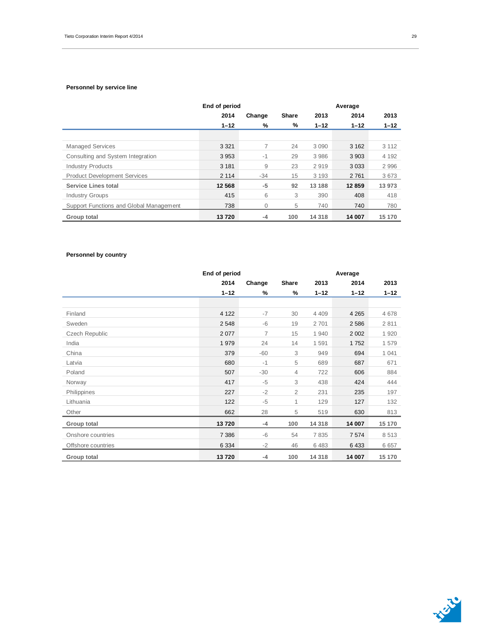#### **Personnel by service line**

|                                         | End of period |              |              |          | Average  |          |
|-----------------------------------------|---------------|--------------|--------------|----------|----------|----------|
|                                         | 2014          | Change       | <b>Share</b> | 2013     | 2014     | 2013     |
|                                         | $1 - 12$      | %            | %            | $1 - 12$ | $1 - 12$ | $1 - 12$ |
|                                         |               |              |              |          |          |          |
| <b>Managed Services</b>                 | 3 3 2 1       | 7            | 24           | 3 0 9 0  | 3 1 6 2  | 3 1 1 2  |
| Consulting and System Integration       | 3953          | $-1$         | 29           | 3 986    | 3 9 0 3  | 4 1 9 2  |
| <b>Industry Products</b>                | 3 1 8 1       | 9            | 23           | 2919     | 3 0 3 3  | 2996     |
| <b>Product Development Services</b>     | 2 1 1 4       | $-34$        | 15           | 3 1 9 3  | 2 7 6 1  | 3673     |
| <b>Service Lines total</b>              | 12 5 68       | $-5$         | 92           | 13 188   | 12 859   | 13 973   |
| <b>Industry Groups</b>                  | 415           | 6            | 3            | 390      | 408      | 418      |
| Support Functions and Global Management | 738           | $\mathbf{0}$ | 5            | 740      | 740      | 780      |
| Group total                             | 13720         | $-4$         | 100          | 14 3 18  | 14 007   | 15 170   |

### **Personnel by country**

|                    | End of period |                |                |          | Average  |          |
|--------------------|---------------|----------------|----------------|----------|----------|----------|
|                    | 2014          | Change         | Share          | 2013     | 2014     | 2013     |
|                    | $1 - 12$      | %              | $\%$           | $1 - 12$ | $1 - 12$ | $1 - 12$ |
|                    |               |                |                |          |          |          |
| Finland            | 4 1 2 2       | $-7$           | 30             | 4 4 0 9  | 4 2 6 5  | 4678     |
| Sweden             | 2 5 4 8       | $-6$           | 19             | 2701     | 2586     | 2811     |
| Czech Republic     | 2 0 7 7       | $\overline{7}$ | 15             | 1 940    | 2 0 0 2  | 1920     |
| India              | 1979          | 24             | 14             | 1591     | 1752     | 1579     |
| China              | 379           | $-60$          | 3              | 949      | 694      | 1 0 4 1  |
| Latvia             | 680           | $-1$           | 5              | 689      | 687      | 671      |
| Poland             | 507           | $-30$          | $\overline{4}$ | 722      | 606      | 884      |
| Norway             | 417           | $-5$           | 3              | 438      | 424      | 444      |
| Philippines        | 227           | $-2$           | 2              | 231      | 235      | 197      |
| Lithuania          | 122           | $-5$           | 1              | 129      | 127      | 132      |
| Other              | 662           | 28             | 5              | 519      | 630      | 813      |
| Group total        | 13720         | $-4$           | 100            | 14 3 18  | 14 007   | 15 170   |
| Onshore countries  | 7 3 8 6       | $-6$           | 54             | 7835     | 7 5 7 4  | 8513     |
| Offshore countries | 6 3 3 4       | $-2$           | 46             | 6483     | 6433     | 6657     |
| Group total        | 13720         | $-4$           | 100            | 14 318   | 14 007   | 15 170   |

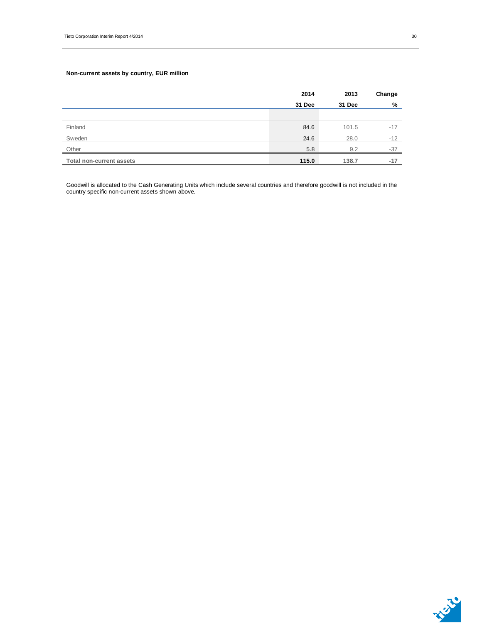### **Non-current assets by country, EUR million**

|                                 | 2014   | 2013   | Change |
|---------------------------------|--------|--------|--------|
|                                 | 31 Dec | 31 Dec | %      |
|                                 |        |        |        |
| Finland                         | 84.6   | 101.5  | $-17$  |
| Sweden                          | 24.6   | 28.0   | $-12$  |
| Other                           | 5.8    | 9.2    | $-37$  |
| <b>Total non-current assets</b> | 115.0  | 138.7  | $-17$  |

Goodwill is allocated to the Cash Generating Units which include several countries and therefore goodwill is not included in the country specific non-current assets shown above.

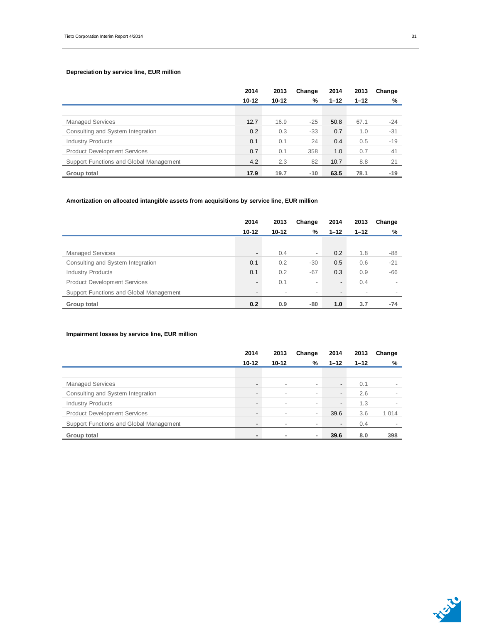### **Depreciation by service line, EUR million**

|                                         | 2014      | 2013      | Change | 2014     | 2013     | Change |
|-----------------------------------------|-----------|-----------|--------|----------|----------|--------|
|                                         | $10 - 12$ | $10 - 12$ | %      | $1 - 12$ | $1 - 12$ | %      |
|                                         |           |           |        |          |          |        |
| <b>Managed Services</b>                 | 12.7      | 16.9      | $-25$  | 50.8     | 67.1     | $-24$  |
| Consulting and System Integration       | 0.2       | 0.3       | $-33$  | 0.7      | 1.0      | $-31$  |
| <b>Industry Products</b>                | 0.1       | 0.1       | 24     | 0.4      | 0.5      | $-19$  |
| <b>Product Development Services</b>     | 0.7       | 0.1       | 358    | 1.0      | 0.7      | 41     |
| Support Functions and Global Management | 4.2       | 2.3       | 82     | 10.7     | 8.8      | 21     |
| Group total                             | 17.9      | 19.7      | $-10$  | 63.5     | 78.1     | $-19$  |

### **Amortization on allocated intangible assets from acquisitions by service line, EUR million**

|                                         | 2014                     | 2013                     | Change                   | 2014                     | 2013                     | Change |
|-----------------------------------------|--------------------------|--------------------------|--------------------------|--------------------------|--------------------------|--------|
|                                         | $10 - 12$                | $10 - 12$                | %                        | $1 - 12$                 | $1 - 12$                 | %      |
|                                         |                          |                          |                          |                          |                          |        |
| <b>Managed Services</b>                 | $\overline{\phantom{a}}$ | 0.4                      | $\overline{\phantom{a}}$ | 0.2                      | 1.8                      | -88    |
| Consulting and System Integration       | 0.1                      | 0.2                      | $-30$                    | 0.5                      | 0.6                      | $-21$  |
| <b>Industry Products</b>                | 0.1                      | 0.2                      | $-67$                    | 0.3                      | 0.9                      | -66    |
| <b>Product Development Services</b>     |                          | 0.1                      | $\overline{\phantom{a}}$ | $\overline{\phantom{a}}$ | 0.4                      |        |
| Support Functions and Global Management | $\overline{\phantom{0}}$ | $\overline{\phantom{a}}$ | $\overline{\phantom{a}}$ | $\overline{\phantom{a}}$ | $\overline{\phantom{a}}$ |        |
| Group total                             | 0.2                      | 0.9                      | -80                      | 1.0                      | 3.7                      | $-74$  |

#### **Impairment losses by service line, EUR million**

|                                         | 2014                     | 2013                     | Change                   | 2014                     | 2013     | Change  |
|-----------------------------------------|--------------------------|--------------------------|--------------------------|--------------------------|----------|---------|
|                                         | $10 - 12$                | $10 - 12$                | %                        | $1 - 12$                 | $1 - 12$ | %       |
|                                         |                          |                          |                          |                          |          |         |
| <b>Managed Services</b>                 |                          | $\overline{\phantom{a}}$ | $\,$                     | $\overline{\phantom{a}}$ | 0.1      |         |
| Consulting and System Integration       | $\overline{\phantom{0}}$ | $\overline{\phantom{a}}$ | $\overline{\phantom{a}}$ | $\overline{\phantom{a}}$ | 2.6      |         |
| <b>Industry Products</b>                |                          | $\overline{\phantom{a}}$ | $\overline{\phantom{a}}$ | $\overline{\phantom{a}}$ | 1.3      |         |
| <b>Product Development Services</b>     |                          | $\overline{\phantom{a}}$ | $\overline{\phantom{a}}$ | 39.6                     | 3.6      | 1 0 1 4 |
| Support Functions and Global Management |                          |                          | $\,$                     | $\overline{\phantom{a}}$ | 0.4      |         |
| Group total                             | -                        | ۰                        | ×.                       | 39.6                     | 8.0      | 398     |



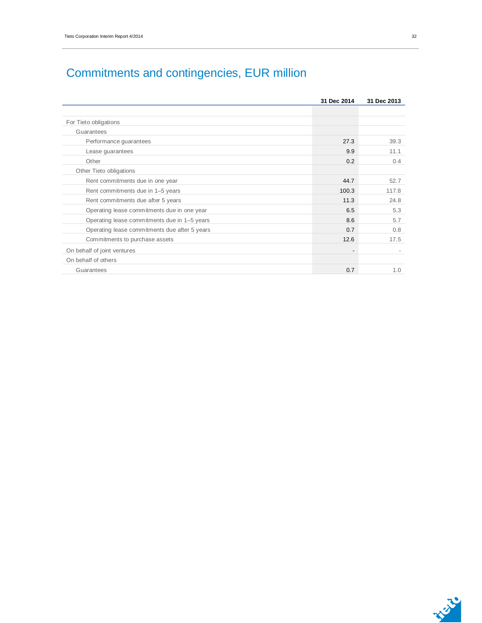|                                               | 31 Dec 2014 | 31 Dec 2013 |
|-----------------------------------------------|-------------|-------------|
|                                               |             |             |
| For Tieto obligations                         |             |             |
| Guarantees                                    |             |             |
| Performance guarantees                        | 27.3        | 39.3        |
| Lease guarantees                              | 9.9         | 11.1        |
| Other                                         | 0.2         | 0.4         |
| Other Tieto obligations                       |             |             |
| Rent commitments due in one year              | 44.7        | 52.7        |
| Rent commitments due in 1-5 years             | 100.3       | 117.8       |
| Rent commitments due after 5 years            | 11.3        | 24.8        |
| Operating lease commitments due in one year   | 6.5         | 5.3         |
| Operating lease commitments due in 1-5 years  | 8.6         | 5.7         |
| Operating lease commitments due after 5 years | 0.7         | 0.8         |
| Commitments to purchase assets                | 12.6        | 17.5        |
| On behalf of joint ventures                   |             |             |
| On behalf of others                           |             |             |
| Guarantees                                    | 0.7         | 1.0         |



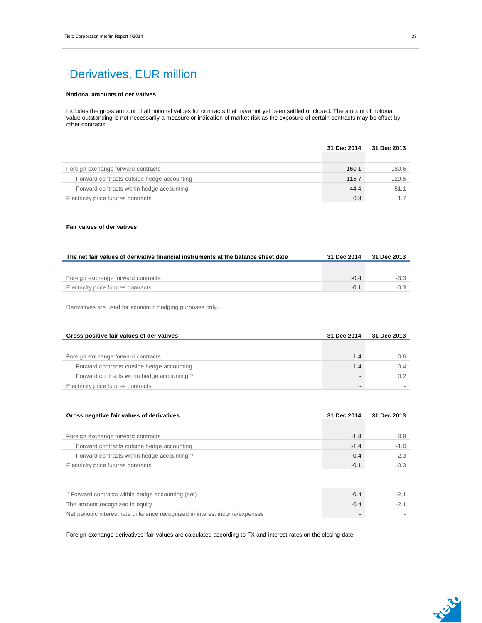## Derivatives, EUR million

### **Notional amounts of derivatives**

Includes the gross amount of all notional values for contracts that have not yet been settled or closed. The amount of notional value outstanding is not necessarily a measure or indication of market risk as the exposure of certain contracts may be offset by other contracts.

|                                            | 31 Dec 2014 | 31 Dec 2013 |
|--------------------------------------------|-------------|-------------|
|                                            |             |             |
| Foreign exchange forward contracts         | 160.1       | 180.6       |
| Forward contracts outside hedge accounting | 115.7       | 129.5       |
| Forward contracts within hedge accounting  | 44.4        | 51.1        |
| Electricity price futures contracts        | 0.8         |             |

#### **Fair values of derivatives**

| The net fair values of derivative financial instruments at the balance sheet date | 31 Dec 2014 | 31 Dec 2013 |
|-----------------------------------------------------------------------------------|-------------|-------------|
|                                                                                   |             |             |
| Foreign exchange forward contracts                                                | $-0.4$      | $-3.3$      |
| Electricity price futures contracts                                               | $-0.1$      |             |

Derivatives are used for economic hedging purposes only.

| Gross positive fair values of derivatives    | 31 Dec 2014 | 31 Dec 2013 |
|----------------------------------------------|-------------|-------------|
|                                              |             |             |
| Foreign exchange forward contracts           | 1.4         | 0.6         |
| Forward contracts outside hedge accounting   | 1.4         |             |
| Forward contracts within hedge accounting *) |             |             |
| Electricity price futures contracts          |             |             |

| Gross negative fair values of derivatives    | 31 Dec 2014 | 31 Dec 2013 |
|----------------------------------------------|-------------|-------------|
|                                              |             |             |
| Foreign exchange forward contracts           | $-1.8$      | $-3.9$      |
| Forward contracts outside hedge accounting   | $-1.4$      | $-1.6$      |
| Forward contracts within hedge accounting *) | $-0.4$      | $-2.3$      |
| Electricity price futures contracts          | $-0.1$      | $-0.3$      |

| *) Forward contracts within hedge accounting (net)                           | -04 |  |
|------------------------------------------------------------------------------|-----|--|
| The amount recognized in equity                                              | -04 |  |
| Net periodic interest rate difference recognized in interest income/expenses |     |  |

Foreign exchange derivatives' fair values are calculated according to FX and interest rates on the closing date.

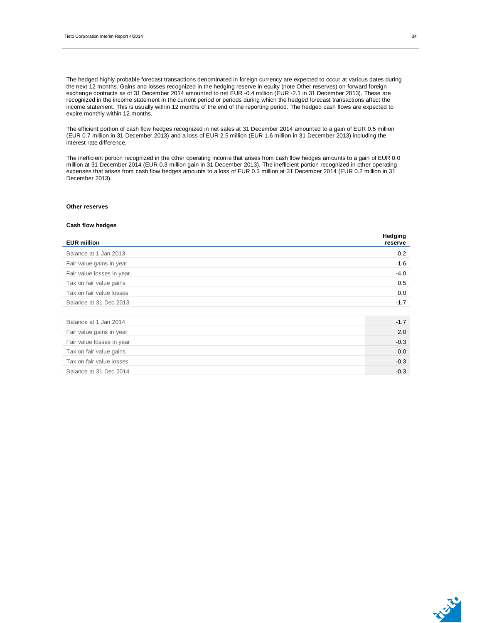The hedged highly probable forecast transactions denominated in foreign currency are expected to occur at various dates during the next 12 months. Gains and losses recognized in the hedging reserve in equity (note Other reserves) on forward foreign exchange contracts as of 31 December 2014 amounted to net EUR -0.4 million (EUR -2.1 in 31 December 2013). These are recognized in the income statement in the current period or periods during which the hedged forecast transactions affect the income statement. This is usually within 12 months of the end of the reporting period. The hedged cash flows are expected to expire monthly within 12 months.

The efficient portion of cash flow hedges recognized in net sales at 31 December 2014 amounted to a gain of EUR 0.5 million (EUR 0.7 million in 31 December 2013) and a loss of EUR 2.5 million (EUR 1.6 million in 31 December 2013) including the interest rate difference.

The inefficient portion recognized in the other operating income that arises from cash flow hedges amounts to a gain of EUR 0.0 million at 31 December 2014 (EUR 0.3 million gain in 31 December 2013). The inefficient portion recognized in other operating expenses that arises from cash flow hedges amounts to a loss of EUR 0.3 million at 31 December 2014 (EUR 0.2 million in 31 December 2013).

#### **Other reserves**

#### **Cash flow hedges**

| <b>EUR million</b>        | <b>Hedging</b><br>reserve |
|---------------------------|---------------------------|
| Balance at 1 Jan 2013     | 0.2                       |
| Fair value gains in year  | 1.6                       |
| Fair value losses in year | $-4.0$                    |
| Tax on fair value gains   | 0.5                       |
| Tax on fair value losses  | 0.0                       |
| Balance at 31 Dec 2013    | $-1.7$                    |
|                           |                           |
| Balance at 1 Jan 2014     | $-1.7$                    |
| Fair value gains in year  | 2.0                       |
| Fair value losses in year | $-0.3$                    |
| Tax on fair value gains   | 0.0                       |
| Tax on fair value losses  | $-0.3$                    |
| Balance at 31 Dec 2014    | $-0.3$                    |



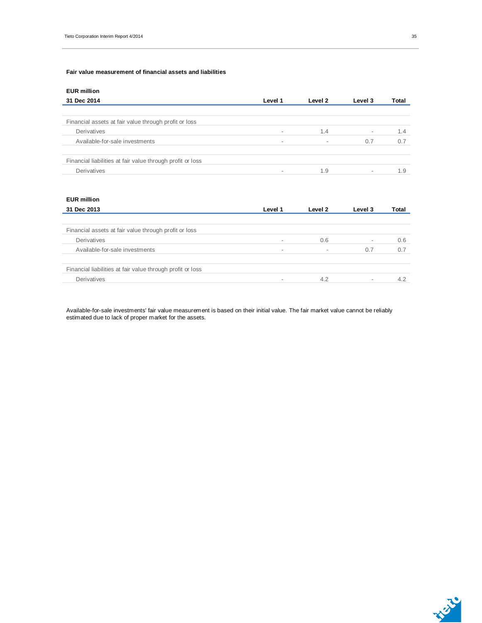#### **Fair value measurement of financial assets and liabilities**

| <b>EUR million</b>                                         |                          |                          |                          |       |
|------------------------------------------------------------|--------------------------|--------------------------|--------------------------|-------|
| 31 Dec 2014                                                | Level 1                  | Level 2                  | Level 3                  | Total |
|                                                            |                          |                          |                          |       |
| Financial assets at fair value through profit or loss      |                          |                          |                          |       |
| Derivatives                                                | $\overline{\phantom{a}}$ | 1.4                      | $\overline{\phantom{a}}$ | 1.4   |
| Available-for-sale investments                             | $\overline{\phantom{a}}$ | $\overline{\phantom{a}}$ | 0.7                      | 0.7   |
|                                                            |                          |                          |                          |       |
| Financial liabilities at fair value through profit or loss |                          |                          |                          |       |
| Derivatives                                                | $\overline{\phantom{a}}$ | 1.9                      | $\overline{\phantom{a}}$ | 1.9   |

#### **EUR million**

| 31 Dec 2013                                                | Level 1 | Level 2 | Level 3                  | Total |
|------------------------------------------------------------|---------|---------|--------------------------|-------|
|                                                            |         |         |                          |       |
| Financial assets at fair value through profit or loss      |         |         |                          |       |
| Derivatives                                                | -       | 0.6     | $\overline{\phantom{a}}$ | 0.6   |
| Available-for-sale investments                             | $\,$    |         | 0.7                      | 0.7   |
|                                                            |         |         |                          |       |
| Financial liabilities at fair value through profit or loss |         |         |                          |       |
| Derivatives                                                | -       | 4.2     | $\,$                     | 4.2   |

Available-for-sale investments' fair value measurement is based on their initial value. The fair market value cannot be reliably estimated due to lack of proper market for the assets.

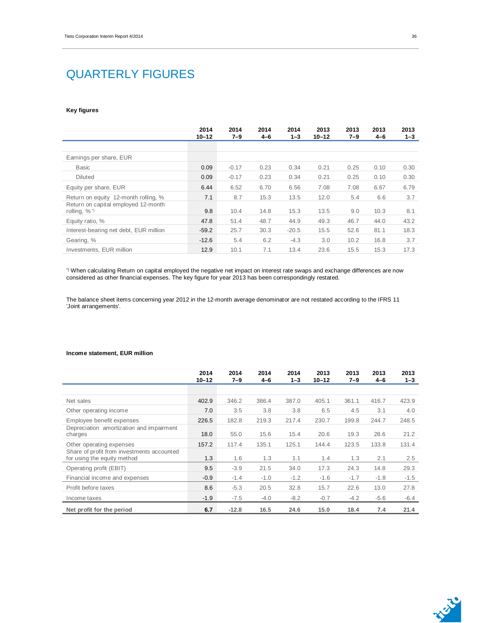## QUARTERLY FIGURES

#### **Key figures**

|                                                                                      | 2014<br>$10 - 12$ | 2014<br>$7 - 9$ | 2014<br>$4 - 6$ | 2014<br>$1 - 3$ | 2013<br>$10 - 12$ | 2013<br>7–9 | 2013<br>$4 - 6$ | 2013<br>$1 - 3$ |
|--------------------------------------------------------------------------------------|-------------------|-----------------|-----------------|-----------------|-------------------|-------------|-----------------|-----------------|
|                                                                                      |                   |                 |                 |                 |                   |             |                 |                 |
| Earnings per share, EUR                                                              |                   |                 |                 |                 |                   |             |                 |                 |
| <b>Basic</b>                                                                         | 0.09              | $-0.17$         | 0.23            | 0.34            | 0.21              | 0.25        | 0.10            | 0.30            |
| <b>Diluted</b>                                                                       | 0.09              | $-0.17$         | 0.23            | 0.34            | 0.21              | 0.25        | 0.10            | 0.30            |
| Equity per share, EUR                                                                | 6.44              | 6.52            | 6.70            | 6.56            | 7.08              | 7.08        | 6.67            | 6.79            |
| Return on equity 12-month rolling, %                                                 | 7.1               | 8.7             | 15.3            | 13.5            | 12.0              | 5.4         | 6.6             | 3.7             |
| Return on capital employed 12-month<br>rolling, $\%$ <sup><math>\degree</math></sup> | 9.8               | 10.4            | 14.8            | 15.3            | 13.5              | 9.0         | 10.3            | 8.1             |
| Equity ratio, %                                                                      | 47.8              | 51.4            | 48.7            | 44.9            | 49.3              | 46.7        | 44.0            | 43.2            |
| Interest-bearing net debt, EUR million                                               | $-59.2$           | 25.7            | 30.3            | $-20.5$         | 15.5              | 52.6        | 81.1            | 18.3            |
| Gearing, %                                                                           | $-12.6$           | 5.4             | 6.2             | $-4.3$          | 3.0               | 10.2        | 16.8            | 3.7             |
| Investments, EUR million                                                             | 12.9              | 10.1            | 7.1             | 13.4            | 23.6              | 15.5        | 15.3            | 17.3            |

\*) When calculating Return on capital employed the negative net impact on interest rate swaps and exchange differences are now considered as other financial expenses. The key figure for year 2013 has been correspondingly restated.

The balance sheet items concerning year 2012 in the 12-month average denominator are not restated according to the IFRS 11 'Joint arrangements'.

#### **Income statement, EUR million**

|                                                                           | 2014<br>$10 - 12$ | 2014<br>$7 - 9$ | 2014<br>$4 - 6$ | 2014<br>$1 - 3$ | 2013<br>$10 - 12$ | 2013<br>7–9 | 2013<br>$4 - 6$ | 2013<br>$1 - 3$ |
|---------------------------------------------------------------------------|-------------------|-----------------|-----------------|-----------------|-------------------|-------------|-----------------|-----------------|
|                                                                           |                   |                 |                 |                 |                   |             |                 |                 |
| Net sales                                                                 | 402.9             | 346.2           | 386.4           | 387.0           | 405.1             | 361.1       | 416.7           | 423.9           |
| Other operating income                                                    | 7.0               | 3.5             | 3.8             | 3.8             | 6.5               | 4.5         | 3.1             | 4.0             |
| Employee benefit expenses                                                 | 226.5             | 182.8           | 219.3           | 217.4           | 230.7             | 199.8       | 244.7           | 248.5           |
| Depreciation amortization and impairment<br>charges                       | 18.0              | 55.0            | 15.6            | 15.4            | 20.6              | 19.3        | 28.6            | 21.2            |
| Other operating expenses                                                  | 157.2             | 117.4           | 135.1           | 125.1           | 144.4             | 123.5       | 133.8           | 131.4           |
| Share of profit from investments accounted<br>for using the equity method | 1.3               | 1.6             | 1.3             | 1.1             | 1.4               | 1.3         | 2.1             | 2.5             |
| Operating profit (EBIT)                                                   | 9.5               | $-3.9$          | 21.5            | 34.0            | 17.3              | 24.3        | 14.8            | 29.3            |
| Financial income and expenses                                             | $-0.9$            | $-1.4$          | $-1.0$          | $-1.2$          | $-1.6$            | $-1.7$      | $-1.8$          | $-1.5$          |
| Profit before taxes                                                       | 8.6               | $-5.3$          | 20.5            | 32.8            | 15.7              | 22.6        | 13.0            | 27.8            |
| Income taxes                                                              | $-1.9$            | $-7.5$          | $-4.0$          | $-8.2$          | $-0.7$            | $-4.2$      | $-5.6$          | $-6.4$          |
| Net profit for the period                                                 | 6.7               | $-12.8$         | 16.5            | 24.6            | 15.0              | 18.4        | 7.4             | 21.4            |

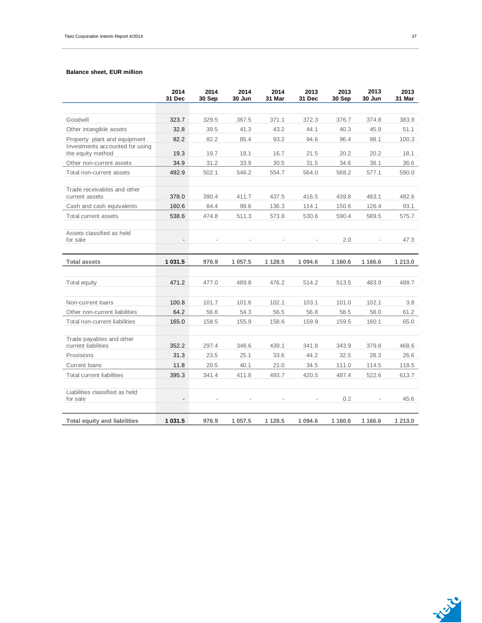#### **Balance sheet, EUR million**

|                                                      | 2014<br>31 Dec           | 2014<br>30 Sep | 2014<br>30 Jun | 2014<br>31 Mar | 2013<br>31 Dec | 2013<br>30 Sep | 2013<br>30 Jun | 2013<br>31 Mar |
|------------------------------------------------------|--------------------------|----------------|----------------|----------------|----------------|----------------|----------------|----------------|
|                                                      |                          |                |                |                |                |                |                |                |
| Goodwill                                             | 323.7                    | 329.5          | 367.5          | 371.1          | 372.3          | 376.7          | 374.8          | 383.9          |
| Other intangible assets                              | 32.8                     | 39.5           | 41.3           | 43.2           | 44.1           | 40.3           | 45.9           | 51.1           |
| Property plant and equipment                         | 82.2                     | 82.2           | 85.4           | 93.2           | 94.6           | 96.4           | 98.1           | 100.3          |
| Investments accounted for using<br>the equity method | 19.3                     | 19.7           | 18.1           | 16.7           | 21.5           | 20.2           | 20.2           | 18.1           |
| Other non-current assets                             | 34.9                     | 31.2           | 33.9           | 30.5           | 31.5           | 34.6           | 38.1           | 36.6           |
| Total non-current assets                             | 492.9                    | 502.1          | 546.2          | 554.7          | 564.0          | 568.2          | 577.1          | 590.0          |
| Trade receivables and other<br>current assets        | 378.0                    | 390.4          | 411.7          | 437.5          | 416.5          | 439.8          | 463.1          | 482.6          |
| Cash and cash equivalents                            | 160.6                    | 84.4           | 99.6           | 136.3          | 114.1          | 150.6          | 126.4          | 93.1           |
| Total current assets                                 | 538.6                    | 474.8          | 511.3          | 573.8          | 530.6          | 590.4          | 589.5          | 575.7          |
| Assets classified as held<br>for sale                | $\overline{\phantom{a}}$ |                |                |                |                | 2.0            |                | 47.3           |
| <b>Total assets</b>                                  | 1 031.5                  | 976.9          | 1 057.5        | 1 1 28.5       | 1 094.6        | 1 160.6        | 1 1 66.6       | 1 213.0        |
|                                                      |                          |                |                |                |                |                |                |                |
| Total equity                                         | 471.2                    | 477.0          | 489.8          | 476.2          | 514.2          | 513.5          | 483.9          | 488.7          |
|                                                      |                          |                |                |                |                |                |                |                |
| Non-current loans                                    | 100.8                    | 101.7          | 101.6          | 102.1          | 103.1          | 101.0          | 102.1          | 3.8            |
| Other non-current liabilities                        | 64.2                     | 56.8           | 54.3           | 56.5           | 56.8           | 58.5           | 58.0           | 61.2           |
| Total non-current liabilities                        | 165.0                    | 158.5          | 155.9          | 158.6          | 159.9          | 159.5          | 160.1          | 65.0           |
| Trade payables and other                             |                          |                |                |                |                |                |                |                |
| current liabilities                                  |                          |                |                |                |                |                |                |                |
|                                                      | 352.2                    | 297.4          | 346.6          | 439.1          | 341.8          | 343.9          | 379.8          | 468.6          |
| Provisions                                           | 31.3                     | 23.5           | 25.1           | 33.6           | 44.2           | 32.5           | 28.3           | 26.6           |
| Current loans                                        | 11.8                     | 20.5           | 40.1           | 21.0           | 34.5           | 111.0          | 114.5          | 118.5          |
| Total current liabilities                            | 395.3                    | 341.4          | 411.8          | 493.7          | 420.5          | 487.4          | 522.6          | 613.7          |
| Liabilities classified as held<br>for sale           |                          |                |                |                |                | 0.2            |                | 45.6           |



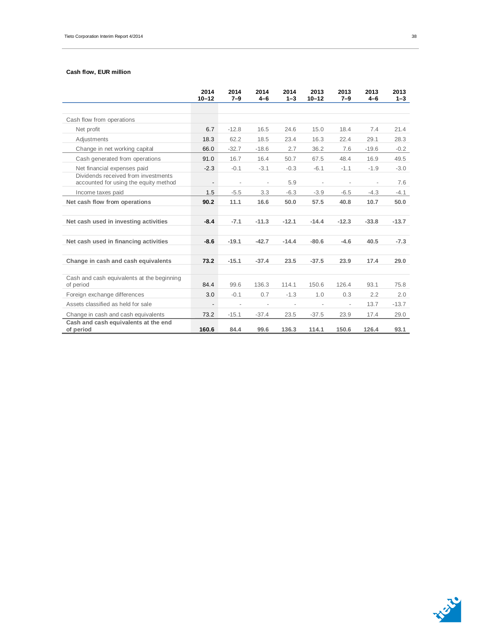### **Cash flow, EUR million**

|                                                                              | 2014<br>$10 - 12$        | 2014<br>$7 - 9$          | 2014<br>$4 - 6$          | 2014<br>$1 - 3$          | 2013<br>$10 - 12$        | 2013<br>$7 - 9$          | 2013<br>$4 - 6$          | 2013<br>$1 - 3$ |
|------------------------------------------------------------------------------|--------------------------|--------------------------|--------------------------|--------------------------|--------------------------|--------------------------|--------------------------|-----------------|
|                                                                              |                          |                          |                          |                          |                          |                          |                          |                 |
| Cash flow from operations                                                    |                          |                          |                          |                          |                          |                          |                          |                 |
| Net profit                                                                   | 6.7                      | $-12.8$                  | 16.5                     | 24.6                     | 15.0                     | 18.4                     | 7.4                      | 21.4            |
| Adjustments                                                                  | 18.3                     | 62.2                     | 18.5                     | 23.4                     | 16.3                     | 22.4                     | 29.1                     | 28.3            |
| Change in net working capital                                                | 66.0                     | $-32.7$                  | $-18.6$                  | 2.7                      | 36.2                     | 7.6                      | $-19.6$                  | $-0.2$          |
| Cash generated from operations                                               | 91.0                     | 16.7                     | 16.4                     | 50.7                     | 67.5                     | 48.4                     | 16.9                     | 49.5            |
| Net financial expenses paid                                                  | $-2.3$                   | $-0.1$                   | $-3.1$                   | $-0.3$                   | $-6.1$                   | $-1.1$                   | $-1.9$                   | $-3.0$          |
| Dividends received from investments<br>accounted for using the equity method | $\overline{\phantom{a}}$ | $\overline{\phantom{a}}$ | $\overline{\phantom{a}}$ | 5.9                      | $\overline{\phantom{a}}$ | $\overline{\phantom{a}}$ | $\overline{\phantom{a}}$ | 7.6             |
| Income taxes paid                                                            | 1.5                      | $-5.5$                   | 3.3                      | $-6.3$                   | $-3.9$                   | $-6.5$                   | $-4.3$                   | $-4.1$          |
| Net cash flow from operations                                                | 90.2                     | 11.1                     | 16.6                     | 50.0                     | 57.5                     | 40.8                     | 10.7                     | 50.0            |
| Net cash used in investing activities                                        | $-8.4$                   | $-7.1$                   | $-11.3$                  | $-12.1$                  | $-14.4$                  | $-12.3$                  | $-33.8$                  | $-13.7$         |
| Net cash used in financing activities                                        | $-8.6$                   | $-19.1$                  | $-42.7$                  | $-14.4$                  | $-80.6$                  | $-4.6$                   | 40.5                     | $-7.3$          |
| Change in cash and cash equivalents                                          | 73.2                     | $-15.1$                  | $-37.4$                  | 23.5                     | $-37.5$                  | 23.9                     | 17.4                     | 29.0            |
| Cash and cash equivalents at the beginning<br>of period                      | 84.4                     | 99.6                     | 136.3                    | 114.1                    | 150.6                    | 126.4                    | 93.1                     | 75.8            |
| Foreign exchange differences                                                 | 3.0                      | $-0.1$                   | 0.7                      | $-1.3$                   | 1.0                      | 0.3                      | 2.2                      | 2.0             |
| Assets classified as held for sale                                           | $\overline{\phantom{a}}$ | $\overline{\phantom{a}}$ | $\overline{a}$           | $\overline{\phantom{a}}$ |                          |                          | 13.7                     | $-13.7$         |
| Change in cash and cash equivalents                                          | 73.2                     | $-15.1$                  | $-37.4$                  | 23.5                     | $-37.5$                  | 23.9                     | 17.4                     | 29.0            |
| Cash and cash equivalents at the end<br>of period                            | 160.6                    | 84.4                     | 99.6                     | 136.3                    | 114.1                    | 150.6                    | 126.4                    | 93.1            |

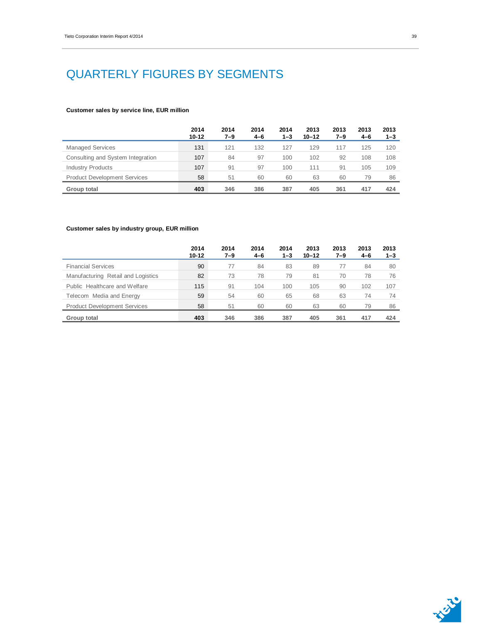## QUARTERLY FIGURES BY SEGMENTS

#### **Customer sales by service line, EUR million**

|                                     | 2014<br>$10 - 12$ | 2014<br>$7 - 9$ | 2014<br>$4 - 6$ | 2014<br>1–3 | 2013<br>$10 - 12$ | 2013<br>7–9 | 2013<br>$4 - 6$ | 2013<br>$1 - 3$ |
|-------------------------------------|-------------------|-----------------|-----------------|-------------|-------------------|-------------|-----------------|-----------------|
| <b>Managed Services</b>             | 131               | 121             | 132             | 127         | 129               | 117         | 125             | 120             |
| Consulting and System Integration   | 107               | 84              | 97              | 100         | 102               | 92          | 108             | 108             |
| <b>Industry Products</b>            | 107               | 91              | 97              | 100         | 111               | 91          | 105             | 109             |
| <b>Product Development Services</b> | 58                | 51              | 60              | 60          | 63                | 60          | 79              | 86              |
| Group total                         | 403               | 346             | 386             | 387         | 405               | 361         | 417             | 424             |

### **Customer sales by industry group, EUR million**

|                                     | 2014<br>$10 - 12$ | 2014<br>7–9 | 2014<br>$4 - 6$ | 2014<br>1–3 | 2013<br>$10 - 12$ | 2013<br>7–9 | 2013<br>$4 - 6$ | 2013<br>$1 - 3$ |
|-------------------------------------|-------------------|-------------|-----------------|-------------|-------------------|-------------|-----------------|-----------------|
| <b>Financial Services</b>           | 90                | 77          | 84              | 83          | 89                | 77          | 84              | 80              |
| Manufacturing Retail and Logistics  | 82                | 73          | 78              | 79          | 81                | 70          | 78              | 76              |
| Public Healthcare and Welfare       | 115               | 91          | 104             | 100         | 105               | 90          | 102             | 107             |
| Telecom Media and Energy            | 59                | 54          | 60              | 65          | 68                | 63          | 74              | 74              |
| <b>Product Development Services</b> | 58                | 51          | 60              | 60          | 63                | 60          | 79              | 86              |
| <b>Group total</b>                  | 403               | 346         | 386             | 387         | 405               | 361         | 417             | 424             |

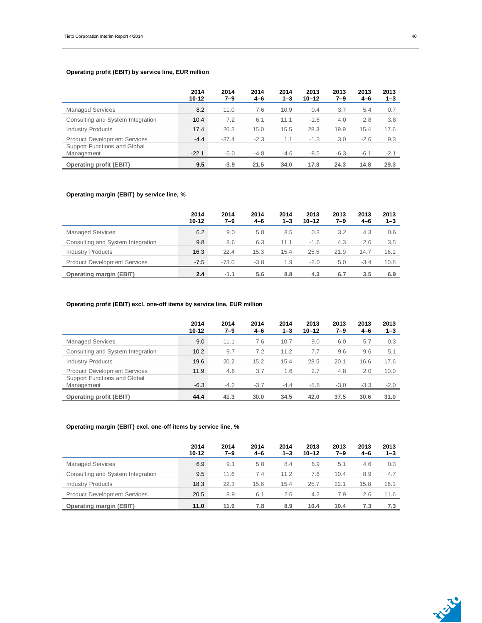### **Operating profit (EBIT) by service line, EUR million**

|                                                   | 2014<br>$10 - 12$ | 2014<br>$7 - 9$ | 2014<br>$4 - 6$ | 2014<br>$1 - 3$ | 2013<br>$10 - 12$ | 2013<br>7–9 | 2013<br>$4 - 6$ | 2013<br>$1 - 3$ |
|---------------------------------------------------|-------------------|-----------------|-----------------|-----------------|-------------------|-------------|-----------------|-----------------|
| <b>Managed Services</b>                           | 8.2               | 11.0            | 7.6             | 10.9            | 0.4               | 3.7         | 5.4             | 0.7             |
| Consulting and System Integration                 | 10.4              | 7.2             | 6.1             | 11.1            | $-1.6$            | 4.0         | 2.8             | 3.8             |
| <b>Industry Products</b>                          | 17.4              | 20.3            | 15.0            | 15.5            | 28.3              | 19.9        | 15.4            | 17.6            |
| <b>Product Development Services</b>               | $-4.4$            | $-37.4$         | $-2.3$          | 1.1             | $-1.3$            | 3.0         | $-2.6$          | 9.3             |
| Support Functions and Global<br><b>Management</b> | $-22.1$           | $-5.0$          | $-4.8$          | $-4.6$          | $-8.5$            | $-6.3$      | $-6.1$          | $-2.1$          |
| <b>Operating profit (EBIT)</b>                    | 9.5               | $-3.9$          | 21.5            | 34.0            | 17.3              | 24.3        | 14.8            | 29.3            |

### **Operating margin (EBIT) by service line, %**

|                                     | 2014<br>$10 - 12$ | 2014<br>$7 - 9$ | 2014<br>$4 - 6$ | 2014<br>1–3 | 2013<br>$10 - 12$ | 2013<br>7–9 | 2013<br>$4 - 6$ | 2013<br>$1 - 3$ |
|-------------------------------------|-------------------|-----------------|-----------------|-------------|-------------------|-------------|-----------------|-----------------|
| <b>Managed Services</b>             | 6.2               | 9.0             | 5.8             | 8.5         | 0.3               | 3.2         | 4.3             | 0.6             |
| Consulting and System Integration   | 9.8               | 8.6             | 6.3             | 11.1        | $-1.6$            | 4.3         | 2.6             | 3.5             |
| <b>Industry Products</b>            | 16.3              | 22.4            | 15.3            | 15.4        | 25.5              | 21.9        | 14.7            | 16.1            |
| <b>Product Development Services</b> | $-7.5$            | $-73.0$         | $-3.8$          | 1.9         | $-2.0$            | 5.0         | $-3.4$          | 10.8            |
| <b>Operating margin (EBIT)</b>      | 2.4               | $-1.1$          | 5.6             | 8.8         | 4.3               | 6.7         | 3.5             | 6.9             |

### **Operating profit (EBIT) excl. one-off items by service line, EUR million**

|                                            | 2014<br>$10 - 12$ | 2014<br>7–9 | 2014<br>$4 - 6$ | 2014<br>1–3 | 2013<br>$10 - 12$ | 2013<br>7–9 | 2013<br>$4 - 6$ | 2013<br>$1 - 3$ |
|--------------------------------------------|-------------------|-------------|-----------------|-------------|-------------------|-------------|-----------------|-----------------|
| <b>Managed Services</b>                    | 9.0               | 11.1        | 7.6             | 10.7        | 9.0               | 6.0         | 5.7             | 0.3             |
| Consulting and System Integration          | 10.2              | 9.7         | 7.2             | 11.2        | 7.7               | 9.6         | 9.6             | 5.1             |
| <b>Industry Products</b>                   | 19.6              | 20.2        | 15.2            | 15.4        | 28.5              | 20.1        | 16.6            | 17.6            |
| <b>Product Development Services</b>        | 11.9              | 4.6         | 3.7             | 1.6         | 2.7               | 4.8         | 2.0             | 10.0            |
| Support Functions and Global<br>Management | $-6.3$            | $-4.2$      | $-3.7$          | $-4.4$      | $-5.8$            | $-3.0$      | $-3.3$          | $-2.0$          |
| <b>Operating profit (EBIT)</b>             | 44.4              | 41.3        | 30.0            | 34.5        | 42.0              | 37.5        | 30.6            | 31.0            |

### **Operating margin (EBIT) excl. one-off items by service line, %**

|                                     | 2014<br>$10 - 12$ | 2014<br>$7 - 9$ | 2014<br>$4 - 6$ | 2014<br>$1 - 3$ | 2013<br>$10 - 12$ | 2013<br>7–9 | 2013<br>$4 - 6$ | 2013<br>$1 - 3$ |
|-------------------------------------|-------------------|-----------------|-----------------|-----------------|-------------------|-------------|-----------------|-----------------|
| <b>Managed Services</b>             | 6.9               | 9.1             | 5.8             | 8.4             | 6.9               | 5.1         | 4.6             | 0.3             |
| Consulting and System Integration   | 9.5               | 11.6            | 7.4             | 11.2            | 7.6               | 10.4        | 8.9             | 4.7             |
| <b>Industry Products</b>            | 18.3              | 22.3            | 15.6            | 15.4            | 25.7              | 22.1        | 15.8            | 16.1            |
| <b>Product Development Services</b> | 20.5              | 8.9             | 6.1             | 2.6             | 4.2               | 7.9         | 2.6             | 11.6            |
| <b>Operating margin (EBIT)</b>      | 11.0              | 11.9            | 7.8             | 8.9             | 10.4              | 10.4        | 7.3             | 7.3             |



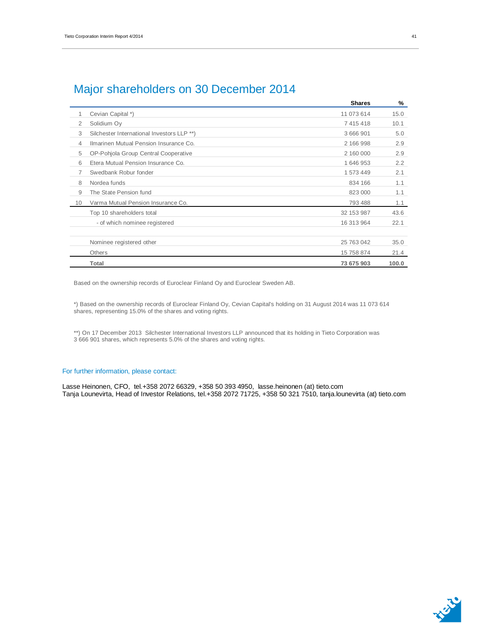|    |                                            | <b>Shares</b> | %     |
|----|--------------------------------------------|---------------|-------|
| 1  | Cevian Capital *)                          | 11 073 614    | 15.0  |
| 2  | Solidium Oy                                | 7 415 418     | 10.1  |
| 3  | Silchester International Investors LLP **) | 3 666 901     | 5.0   |
| 4  | Ilmarinen Mutual Pension Insurance Co.     | 2 166 998     | 2.9   |
| 5  | OP-Pohjola Group Central Cooperative       | 2 160 000     | 2.9   |
| 6  | Etera Mutual Pension Insurance Co.         | 1 646 953     | 2.2   |
| 7  | Swedbank Robur fonder                      | 1 573 449     | 2.1   |
| 8  | Nordea funds                               | 834 166       | 1.1   |
| 9  | The State Pension fund                     | 823 000       | 1.1   |
| 10 | Varma Mutual Pension Insurance Co.         | 793 488       | 1.1   |
|    | Top 10 shareholders total                  | 32 153 987    | 43.6  |
|    | - of which nominee registered              | 16 313 964    | 22.1  |
|    |                                            |               |       |
|    | Nominee registered other                   | 25 763 042    | 35.0  |
|    | Others                                     | 15 758 874    | 21.4  |
|    | Total                                      | 73 675 903    | 100.0 |

## Major shareholders on 30 December 2014

Based on the ownership records of Euroclear Finland Oy and Euroclear Sweden AB.

\*) Based on the ownership records of Euroclear Finland Oy, Cevian Capital's holding on 31 August 2014 was 11 073 614 shares, representing 15.0% of the shares and voting rights.

\*\*) On 17 December 2013 Silchester International Investors LLP announced that its holding in Tieto Corporation was 3 666 901 shares, which represents 5.0% of the shares and voting rights.

#### For further information, please contact:

Lasse Heinonen, CFO, tel.+358 2072 66329, +358 50 393 4950, lasse.heinonen (at) tieto.com Tanja Lounevirta, Head of Investor Relations, tel.+358 2072 71725, +358 50 321 7510, tanja.lounevirta (at) tieto.com

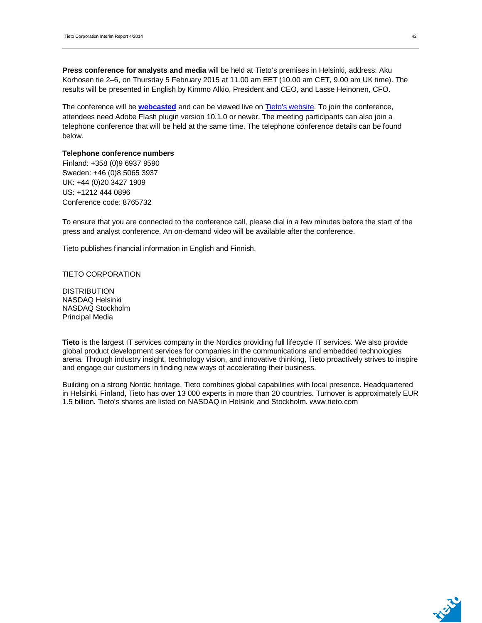**Press conference for analysts and media** will be held at Tieto's premises in Helsinki, address: Aku Korhosen tie 2–6, on Thursday 5 February 2015 at 11.00 am EET (10.00 am CET, 9.00 am UK time). The results will be presented in English by Kimmo Alkio, President and CEO, and Lasse Heinonen, CFO.

The conference will be **webcasted** and can be viewed live on Tieto's website. To join the conference, attendees need Adobe Flash plugin version 10.1.0 or newer. The meeting participants can also join a telephone conference that will be held at the same time. The telephone conference details can be found below.

#### **Telephone conference numbers**

Finland: +358 (0)9 6937 9590 Sweden: +46 (0)8 5065 3937 UK: +44 (0)20 3427 1909 US: +1212 444 0896 Conference code: 8765732

To ensure that you are connected to the conference call, please dial in a few minutes before the start of the press and analyst conference. An on-demand video will be available after the conference.

Tieto publishes financial information in English and Finnish.

TIETO CORPORATION

DISTRIBUTION NASDAQ Helsinki NASDAQ Stockholm Principal Media

**Tieto** is the largest IT services company in the Nordics providing full lifecycle IT services. We also provide global product development services for companies in the communications and embedded technologies arena. Through industry insight, technology vision, and innovative thinking, Tieto proactively strives to inspire and engage our customers in finding new ways of accelerating their business.

Building on a strong Nordic heritage, Tieto combines global capabilities with local presence. Headquartered in Helsinki, Finland, Tieto has over 13 000 experts in more than 20 countries. Turnover is approximately EUR 1.5 billion. Tieto's shares are listed on NASDAQ in Helsinki and Stockholm. www.tieto.com